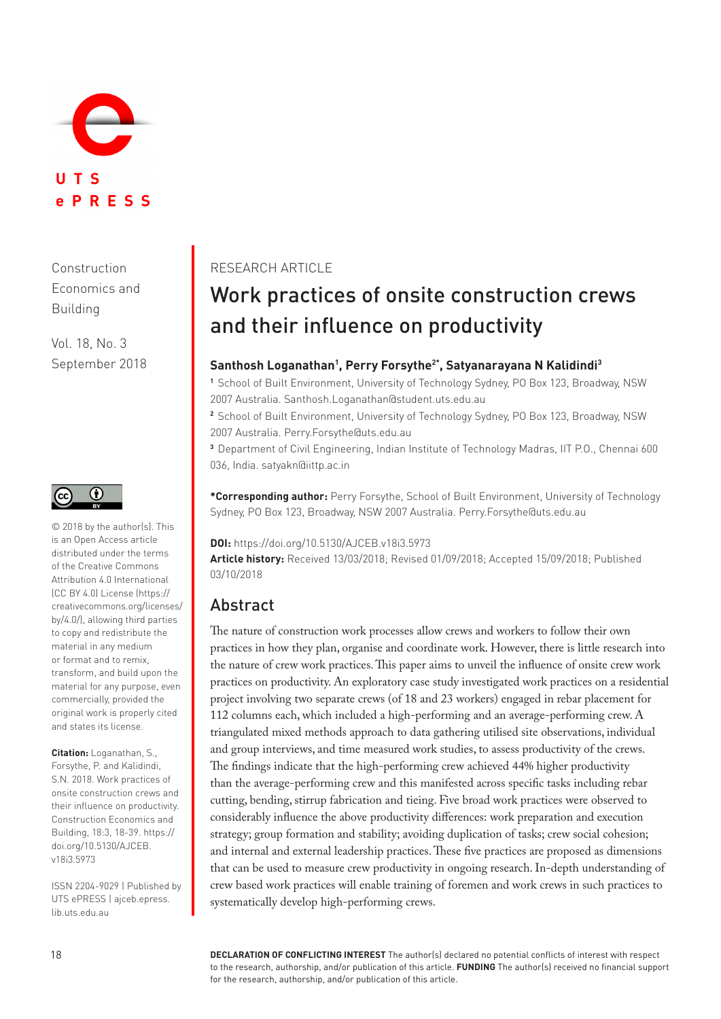

Construction Economics and Building

Vol. 18, No. 3 September 2018



© 2018 by the author(s). This is an Open Access article distributed under the terms of the Creative Commons Attribution 4.0 International (CC BY 4.0) License ([https://](https://creativecommons.org/licenses/by/4.0/) [creativecommons.org/licenses/](https://creativecommons.org/licenses/by/4.0/) [by/4.0/](https://creativecommons.org/licenses/by/4.0/)), allowing third parties to copy and redistribute the material in any medium or format and to remix, transform, and build upon the material for any purpose, even commercially, provided the original work is properly cited and states its license.

**Citation:** Loganathan, S., Forsythe, P. and Kalidindi, S.N. 2018. Work practices of onsite construction crews and their influence on productivity. Construction Economics and Building, 18:3, 18-39. [https://](https://doi.org/10.5130/AJCEB.v18i3.5973) [doi.org/10.5130/AJCEB.](https://doi.org/10.5130/AJCEB.v18i3.5973) [v18i3.5973](https://doi.org/10.5130/AJCEB.v18i3.5973)

ISSN 2204-9029 | Published by UTS ePRESS | [ajceb.epress.](http://ajceb.epress.lib.uts.edu.au) [lib.uts.edu.au](http://ajceb.epress.lib.uts.edu.au)

#### RESEARCH ARTICLE

# Work practices of onsite construction crews and their influence on productivity

#### **Santhosh Loganathan<sup>1</sup> , Perry Forsythe2\*, Satyanarayana N Kalidindi<sup>3</sup>**

**<sup>1</sup>**School of Built Environment, University of Technology Sydney, PO Box 123, Broadway, NSW 2007 Australia. [Santhosh.Loganathan@student.uts.edu.au](http://Santhosh.Loganathan@student.uts.edu.au)

**<sup>2</sup>**School of Built Environment, University of Technology Sydney, PO Box 123, Broadway, NSW 2007 Australia. [Perry.Forsythe@uts.edu.au](http://Perry.Forsythe@uts.edu.au)

**<sup>3</sup>**Department of Civil Engineering, Indian Institute of Technology Madras, IIT P.O., Chennai 600 036, India. [satyakn@iittp.ac.in](http://satyakn@iittp.ac.in)

**\*Corresponding author:** Perry Forsythe, School of Built Environment, University of Technology Sydney, PO Box 123, Broadway, NSW 2007 Australia. [Perry.Forsythe@uts.edu.au](http://Perry.Forsythe@uts.edu.au)

**DOI:** https://doi.org/10.5130/AJCEB.v18i3.5973

**Article history:** Received 13/03/2018; Revised 01/09/2018; Accepted 15/09/2018; Published 03/10/2018

### Abstract

The nature of construction work processes allow crews and workers to follow their own practices in how they plan, organise and coordinate work. However, there is little research into the nature of crew work practices. This paper aims to unveil the influence of onsite crew work practices on productivity. An exploratory case study investigated work practices on a residential project involving two separate crews (of 18 and 23 workers) engaged in rebar placement for 112 columns each, which included a high-performing and an average-performing crew. A triangulated mixed methods approach to data gathering utilised site observations, individual and group interviews, and time measured work studies, to assess productivity of the crews. The findings indicate that the high-performing crew achieved 44% higher productivity than the average-performing crew and this manifested across specific tasks including rebar cutting, bending, stirrup fabrication and tieing. Five broad work practices were observed to considerably influence the above productivity differences: work preparation and execution strategy; group formation and stability; avoiding duplication of tasks; crew social cohesion; and internal and external leadership practices. These five practices are proposed as dimensions that can be used to measure crew productivity in ongoing research. In-depth understanding of crew based work practices will enable training of foremen and work crews in such practices to systematically develop high-performing crews.

**DECLARATION OF CONFLICTING INTEREST** The author(s) declared no potential conflicts of interest with respect to the research, authorship, and/or publication of this article. **FUNDING** The author(s) received no financial support for the research, authorship, and/or publication of this article.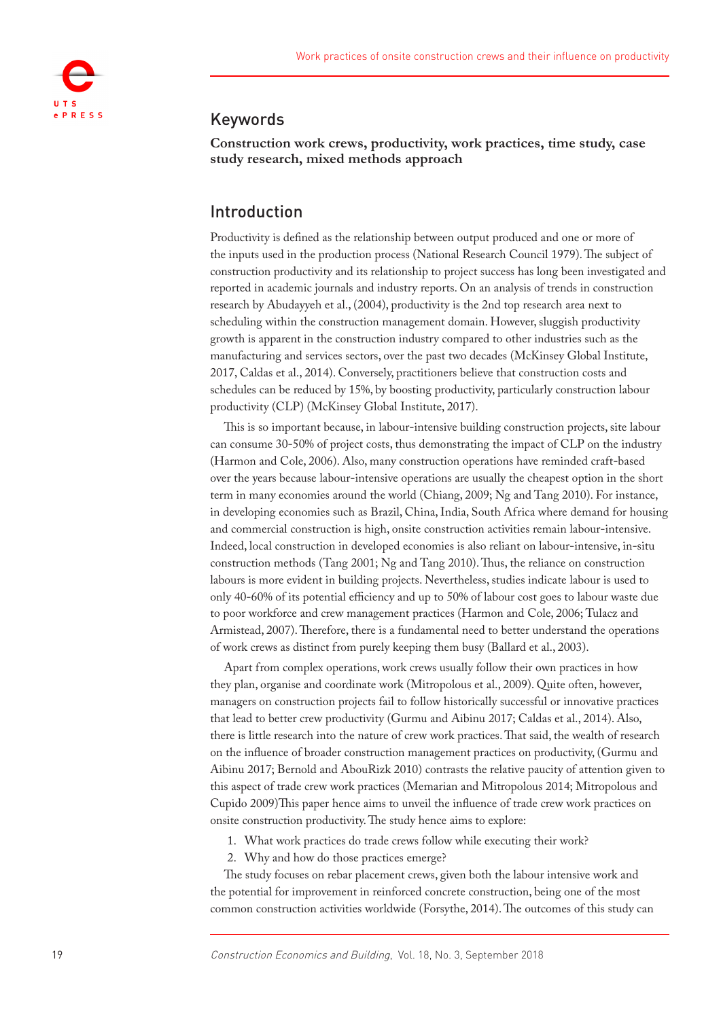

### Keywords

**Construction work crews, productivity, work practices, time study, case study research, mixed methods approach**

### Introduction

Productivity is defined as the relationship between output produced and one or more of the inputs used in the production process (National Research Council [1979](#page-20-0)). The subject of construction productivity and its relationship to project success has long been investigated and reported in academic journals and industry reports. On an analysis of trends in construction research by Abudayyeh et al., (2004), productivity is the 2nd top research area next to scheduling within the construction management domain. However, sluggish productivity growth is apparent in the construction industry compared to other industries such as the manufacturing and services sectors, over the past two decades (McKinsey Global Institute, [2017,](#page-20-1) Caldas et al., 2014). Conversely, practitioners believe that construction costs and schedules can be reduced by 15%, by boosting productivity, particularly construction labour productivity (CLP) (McKinsey Global Institute, [2017](#page-20-1)).

This is so important because, in labour-intensive building construction projects, site labour can consume 30-50% of project costs, thus demonstrating the impact of CLP on the industry (Harmon and Cole, 2006). Also, many construction operations have reminded craft-based over the years because labour-intensive operations are usually the cheapest option in the short term in many economies around the world (Chiang, 2009; Ng and Tang 2010). For instance, in developing economies such as Brazil, China, India, South Africa where demand for housing and commercial construction is high, onsite construction activities remain labour-intensive. Indeed, local construction in developed economies is also reliant on labour-intensive, in-situ construction methods (Tang 2001; Ng and Tang 2010). Thus, the reliance on construction labours is more evident in building projects. Nevertheless, studies indicate labour is used to only 40-60% of its potential efficiency and up to 50% of labour cost goes to labour waste due to poor workforce and crew management practices (Harmon and Cole, 2006; Tulacz and Armistead, [2007](#page-21-0)). Therefore, there is a fundamental need to better understand the operations of work crews as distinct from purely keeping them busy (Ballard et al., [2003\)](#page-19-0).

Apart from complex operations, work crews usually follow their own practices in how they plan, organise and coordinate work (Mitropolous et al., 2009). Quite often, however, managers on construction projects fail to follow historically successful or innovative practices that lead to better crew productivity (Gurmu and Aibinu [2017](#page-19-1); Caldas et al., 2014). Also, there is little research into the nature of crew work practices. That said, the wealth of research on the influence of broader construction management practices on productivity, (Gurmu and Aibinu [2017](#page-19-1); Bernold and AbouRizk [2010\)](#page-19-2) contrasts the relative paucity of attention given to this aspect of trade crew work practices (Memarian and Mitropolous 2014; Mitropolous and Cupido [2009\)](#page-20-2)This paper hence aims to unveil the influence of trade crew work practices on onsite construction productivity. The study hence aims to explore:

1. What work practices do trade crews follow while executing their work?

2. Why and how do those practices emerge?

The study focuses on rebar placement crews, given both the labour intensive work and the potential for improvement in reinforced concrete construction, being one of the most common construction activities worldwide (Forsythe, 2014). The outcomes of this study can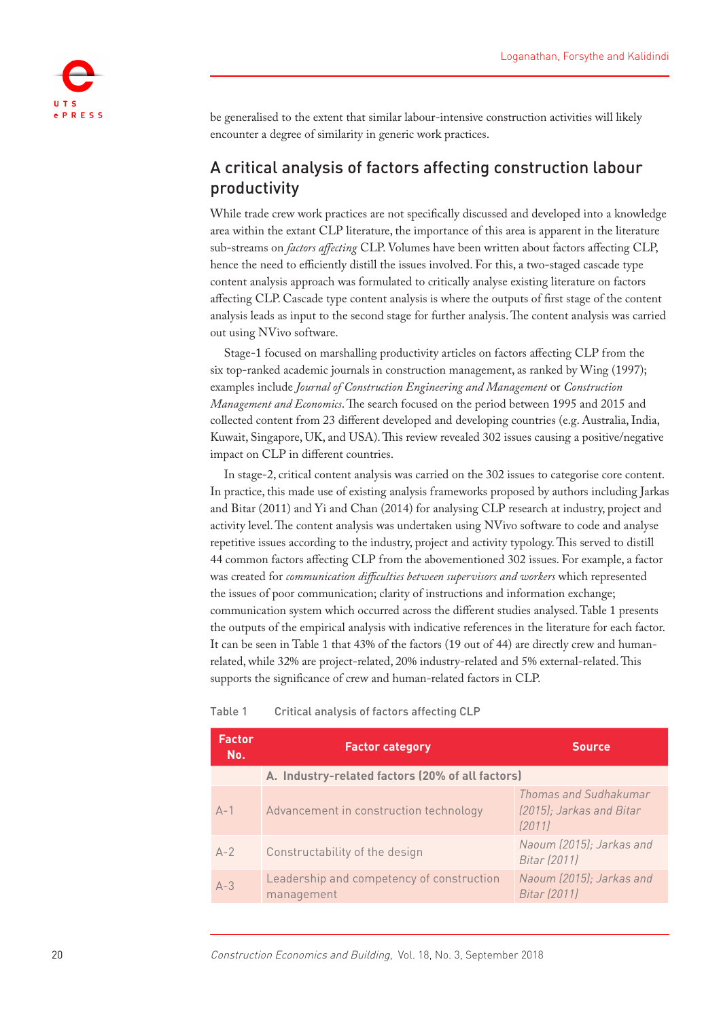

be generalised to the extent that similar labour-intensive construction activities will likely encounter a degree of similarity in generic work practices.

# A critical analysis of factors affecting construction labour productivity

While trade crew work practices are not specifically discussed and developed into a knowledge area within the extant CLP literature, the importance of this area is apparent in the literature sub-streams on *factors affecting* CLP. Volumes have been written about factors affecting CLP, hence the need to efficiently distill the issues involved. For this, a two-staged cascade type content analysis approach was formulated to critically analyse existing literature on factors affecting CLP. Cascade type content analysis is where the outputs of first stage of the content analysis leads as input to the second stage for further analysis. The content analysis was carried out using NVivo software.

Stage-1 focused on marshalling productivity articles on factors affecting CLP from the six top-ranked academic journals in construction management, as ranked by Wing ([1997\)](#page-21-1); examples include *Journal of Construction Engineering and Management* or *Construction Management and Economics*. The search focused on the period between 1995 and 2015 and collected content from 23 different developed and developing countries (e.g. Australia, India, Kuwait, Singapore, UK, and USA). This review revealed 302 issues causing a positive/negative impact on CLP in different countries.

In stage-2, critical content analysis was carried on the 302 issues to categorise core content. In practice, this made use of existing analysis frameworks proposed by authors including Jarkas and Bitar ([2011\)](#page-20-3) and Yi and Chan (2014) for analysing CLP research at industry, project and activity level. The content analysis was undertaken using NVivo software to code and analyse repetitive issues according to the industry, project and activity typology. This served to distill 44 common factors affecting CLP from the abovementioned 302 issues. For example, a factor was created for *communication difficulties between supervisors and workers* which represented the issues of poor communication; clarity of instructions and information exchange; communication system which occurred across the different studies analysed. Table 1 presents the outputs of the empirical analysis with indicative references in the literature for each factor. It can be seen in Table 1 that 43% of the factors (19 out of 44) are directly crew and humanrelated, while 32% are project-related, 20% industry-related and 5% external-related. This supports the significance of crew and human-related factors in CLP.

| <b>Factor</b><br>No. | <b>Factor category</b>                                  | <b>Source</b>                                               |
|----------------------|---------------------------------------------------------|-------------------------------------------------------------|
|                      | A. Industry-related factors (20% of all factors)        |                                                             |
| $A-1$                | Advancement in construction technology                  | Thomas and Sudhakumar<br>(2015); Jarkas and Bitar<br>(2011) |
| $A-2$                | Constructability of the design                          | Naoum (2015); Jarkas and<br>Bitar (2011)                    |
| $A - 3$              | Leadership and competency of construction<br>management | Naoum (2015); Jarkas and<br>Bitar (2011)                    |

#### Table 1 Critical analysis of factors affecting CLP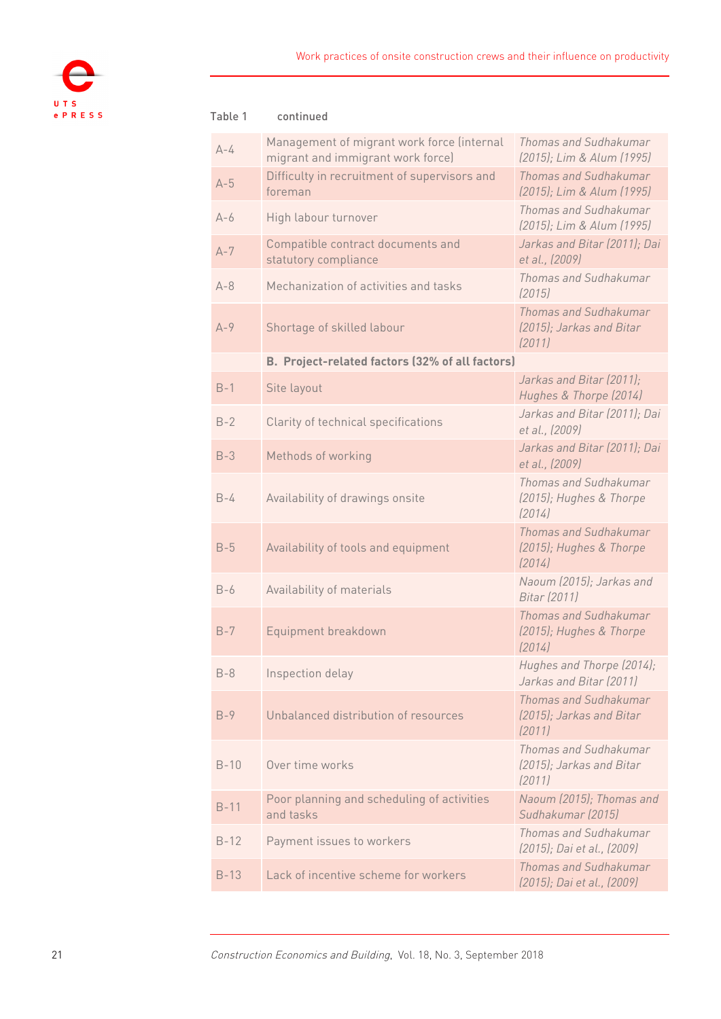

| Table 1 | continued                                                                       |                                                             |
|---------|---------------------------------------------------------------------------------|-------------------------------------------------------------|
| $A-4$   | Management of migrant work force (internal<br>migrant and immigrant work force) | Thomas and Sudhakumar<br>(2015); Lim & Alum (1995)          |
| $A-5$   | Difficulty in recruitment of supervisors and<br>foreman                         | Thomas and Sudhakumar<br>(2015); Lim & Alum (1995)          |
| $A-6$   | High labour turnover                                                            | Thomas and Sudhakumar<br>(2015); Lim & Alum (1995)          |
| $A - 7$ | Compatible contract documents and<br>statutory compliance                       | Jarkas and Bitar (2011); Dai<br>et al., (2009)              |
| $A - 8$ | Mechanization of activities and tasks                                           | Thomas and Sudhakumar<br>(2015)                             |
| $A-9$   | Shortage of skilled labour                                                      | Thomas and Sudhakumar<br>(2015); Jarkas and Bitar<br>(2011) |
|         | B. Project-related factors (32% of all factors)                                 |                                                             |
| $B-1$   | Site layout                                                                     | Jarkas and Bitar (2011);<br>Hughes & Thorpe (2014)          |
| $B-2$   | Clarity of technical specifications                                             | Jarkas and Bitar (2011); Dai<br>et al., (2009)              |
| $B-3$   | Methods of working                                                              | Jarkas and Bitar (2011); Dai<br>et al., (2009)              |
| $B-4$   | Availability of drawings onsite                                                 | Thomas and Sudhakumar<br>(2015); Hughes & Thorpe<br>(2014)  |
| $B-5$   | Availability of tools and equipment                                             | Thomas and Sudhakumar<br>(2015); Hughes & Thorpe<br>(2014)  |
| $B-6$   | Availability of materials                                                       | Naoum (2015); Jarkas and<br>Bitar (2011)                    |
| $B-7$   | Equipment breakdown                                                             | Thomas and Sudhakumar<br>(2015); Hughes & Thorpe<br>(2014)  |
| $B-8$   | Inspection delay                                                                | Hughes and Thorpe (2014);<br>Jarkas and Bitar (2011)        |
| $B-9$   | Unbalanced distribution of resources                                            | Thomas and Sudhakumar<br>(2015); Jarkas and Bitar<br>(2011) |
| $B-10$  | Over time works                                                                 | Thomas and Sudhakumar<br>(2015); Jarkas and Bitar<br>(2011) |
| $B-11$  | Poor planning and scheduling of activities<br>and tasks                         | Naoum (2015); Thomas and<br>Sudhakumar (2015)               |
| $B-12$  | Payment issues to workers                                                       | Thomas and Sudhakumar<br>(2015); Dai et al., (2009)         |
| $B-13$  | Lack of incentive scheme for workers                                            | Thomas and Sudhakumar<br>(2015); Dai et al., (2009)         |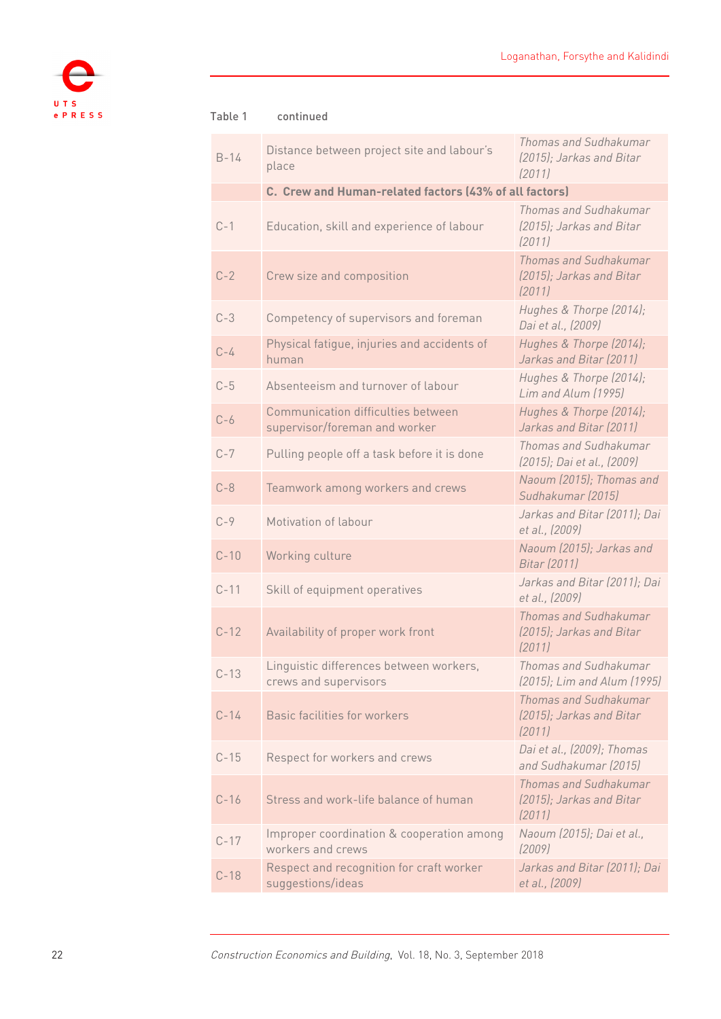

#### B-14 Distance between project site and labour's place *Thomas and Sudhakumar (2015); Jarkas and Bitar (2011)* **C. Crew and Human-related factors (43% of all factors)** C-1 Education, skill and experience of labour *Thomas and Sudhakumar (2015); Jarkas and Bitar (2011)* C-2 Crew size and composition *Thomas and Sudhakumar (2015); Jarkas and Bitar (2011)* C-3 Competency of supervisors and foreman *Hughes & Thorpe (2014); Dai et al., (2009)* **C-4** Physical fatigue, injuries and accidents of human *Hughes & Thorpe (2014); Jarkas and Bitar (2011)* C-5 Absenteeism and turnover of labour *Hughes & Thorpe (2014); Lim and Alum (1995)* C-6 Communication difficulties between supervisor/foreman and worker *Hughes & Thorpe (2014); Jarkas and Bitar (2011)* C-7 Pulling people off a task before it is done *Thomas and Sudhakumar (2015); Dai et al., (2009)* C-8 Teamwork among workers and crews *Naoum (2015); Thomas and Sudhakumar (2015)* C-9 Motivation of labour *Jarkas and Bitar (2011); Dai et al., (2009)* C-10 Working culture *Naoum (2015); Jarkas and Bitar (2011)* C-11 Skill of equipment operatives *Jarkas and Bitar (2011); Dai et al., (2009)* C-12 Availability of proper work front *Thomas and Sudhakumar (2015); Jarkas and Bitar (2011)* C-13 Linguistic differences between workers, crews and supervisors *Thomas and Sudhakumar (2015); Lim and Alum (1995)* C-14 Basic facilities for workers *Thomas and Sudhakumar (2015); Jarkas and Bitar (2011)* C-15 Respect for workers and crews *Dai et al., (2009); Thomas and Sudhakumar (2015)* C-16 Stress and work-life balance of human *Thomas and Sudhakumar (2015); Jarkas and Bitar (2011)* C-17 Improper coordination & cooperation among workers and crews *Naoum (2015); Dai et al., (2009)* C-18 Respect and recognition for craft worker suggestions/ideas *Jarkas and Bitar (2011); Dai et al., (2009)* Table 1 continued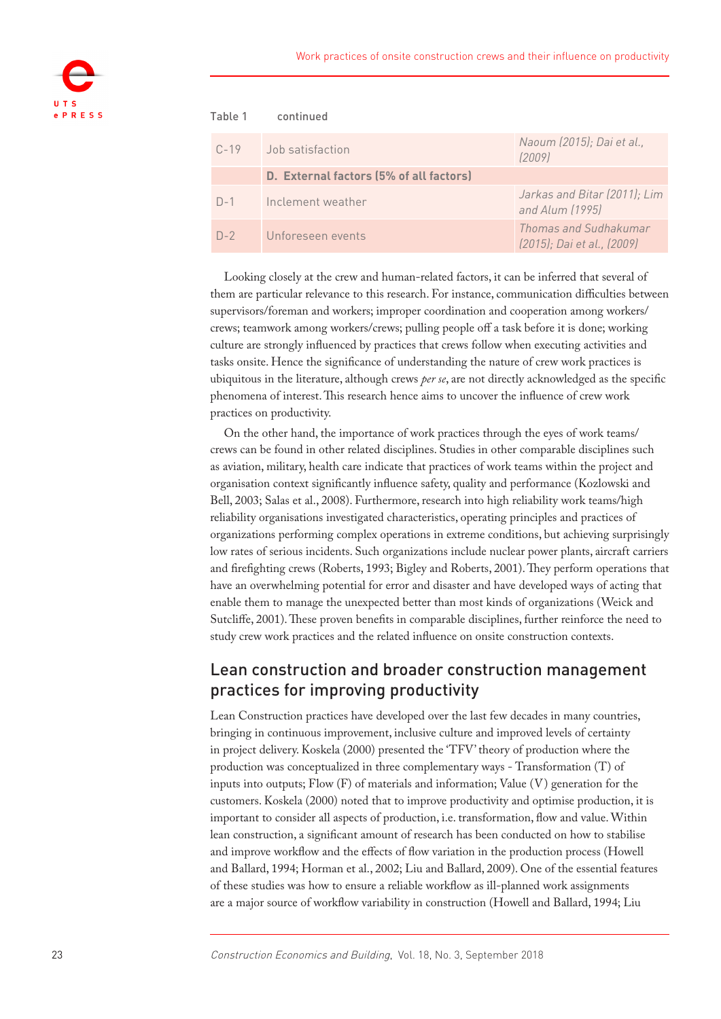

| Table 1  | continued                               |                                                     |
|----------|-----------------------------------------|-----------------------------------------------------|
| $C - 19$ | Job satisfaction                        | Naoum (2015); Dai et al.,<br>(2009)                 |
|          | D. External factors (5% of all factors) |                                                     |
| $D-1$    | Inclement weather                       | Jarkas and Bitar (2011); Lim<br>and Alum (1995)     |
| $D-2$    | Unforeseen events                       | Thomas and Sudhakumar<br>(2015); Dai et al., (2009) |

Looking closely at the crew and human-related factors, it can be inferred that several of them are particular relevance to this research. For instance, communication difficulties between supervisors/foreman and workers; improper coordination and cooperation among workers/ crews; teamwork among workers/crews; pulling people off a task before it is done; working culture are strongly influenced by practices that crews follow when executing activities and tasks onsite. Hence the significance of understanding the nature of crew work practices is ubiquitous in the literature, although crews *per se*, are not directly acknowledged as the specific phenomena of interest. This research hence aims to uncover the influence of crew work practices on productivity.

On the other hand, the importance of work practices through the eyes of work teams/ crews can be found in other related disciplines. Studies in other comparable disciplines such as aviation, military, health care indicate that practices of work teams within the project and organisation context significantly influence safety, quality and performance (Kozlowski and Bell, 2003; Salas et al., [2008](#page-21-2)). Furthermore, research into high reliability work teams/high reliability organisations investigated characteristics, operating principles and practices of organizations performing complex operations in extreme conditions, but achieving surprisingly low rates of serious incidents. Such organizations include nuclear power plants, aircraft carriers and firefighting crews (Roberts, 1993; Bigley and Roberts, [2001](#page-19-3)). They perform operations that have an overwhelming potential for error and disaster and have developed ways of acting that enable them to manage the unexpected better than most kinds of organizations (Weick and Sutcliffe, 2001). These proven benefits in comparable disciplines, further reinforce the need to study crew work practices and the related influence on onsite construction contexts.

### Lean construction and broader construction management practices for improving productivity

Lean Construction practices have developed over the last few decades in many countries, bringing in continuous improvement, inclusive culture and improved levels of certainty in project delivery. Koskela ([2000\)](#page-20-4) presented the 'TFV' theory of production where the production was conceptualized in three complementary ways - Transformation (T) of inputs into outputs; Flow (F) of materials and information; Value (V) generation for the customers. Koskela ([2000\)](#page-20-4) noted that to improve productivity and optimise production, it is important to consider all aspects of production, i.e. transformation, flow and value. Within lean construction, a significant amount of research has been conducted on how to stabilise and improve workflow and the effects of flow variation in the production process (Howell and Ballard, 1994; Horman et al., 2002; Liu and Ballard, 2009). One of the essential features of these studies was how to ensure a reliable workflow as ill-planned work assignments are a major source of workflow variability in construction (Howell and Ballard, 1994; Liu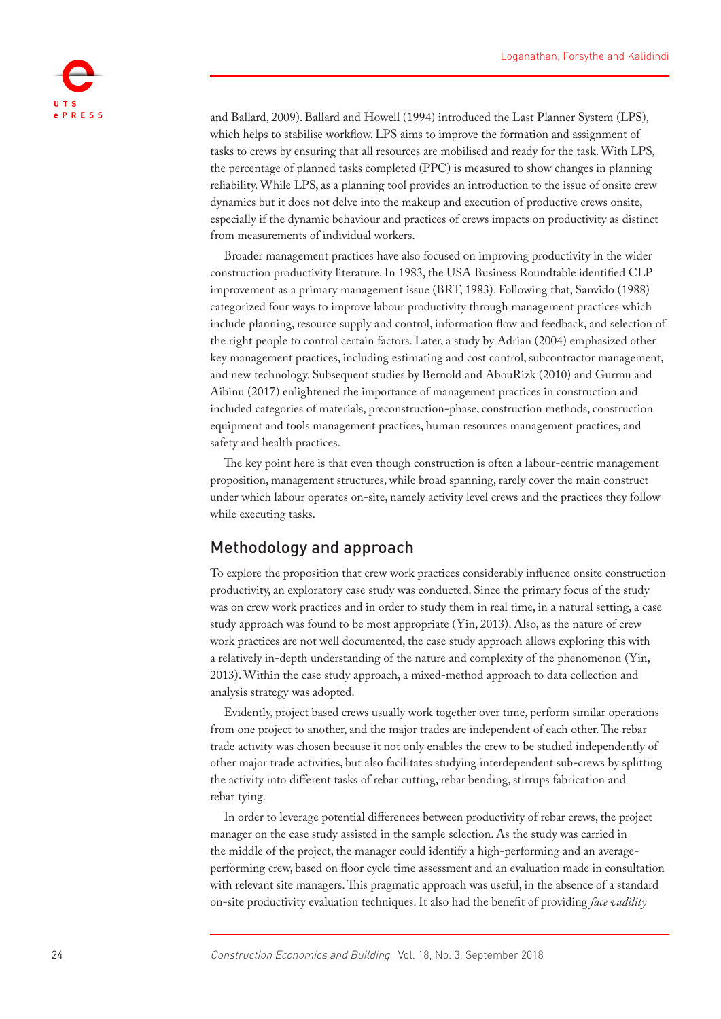

and Ballard, 2009). Ballard and Howell [\(1994](#page-18-0)) introduced the Last Planner System (LPS), which helps to stabilise workflow. LPS aims to improve the formation and assignment of tasks to crews by ensuring that all resources are mobilised and ready for the task. With LPS, the percentage of planned tasks completed (PPC) is measured to show changes in planning reliability. While LPS, as a planning tool provides an introduction to the issue of onsite crew dynamics but it does not delve into the makeup and execution of productive crews onsite, especially if the dynamic behaviour and practices of crews impacts on productivity as distinct from measurements of individual workers.

Broader management practices have also focused on improving productivity in the wider construction productivity literature. In 1983, the USA Business Roundtable identified CLP improvement as a primary management issue (BRT, [1983](#page-19-4)). Following that, Sanvido [\(1988](#page-21-3)) categorized four ways to improve labour productivity through management practices which include planning, resource supply and control, information flow and feedback, and selection of the right people to control certain factors. Later, a study by Adrian ([2004\)](#page-18-1) emphasized other key management practices, including estimating and cost control, subcontractor management, and new technology. Subsequent studies by Bernold and AbouRizk [\(2010](#page-19-2)) and Gurmu and Aibinu ([2017\)](#page-19-1) enlightened the importance of management practices in construction and included categories of materials, preconstruction-phase, construction methods, construction equipment and tools management practices, human resources management practices, and safety and health practices.

The key point here is that even though construction is often a labour-centric management proposition, management structures, while broad spanning, rarely cover the main construct under which labour operates on-site, namely activity level crews and the practices they follow while executing tasks.

### Methodology and approach

To explore the proposition that crew work practices considerably influence onsite construction productivity, an exploratory case study was conducted. Since the primary focus of the study was on crew work practices and in order to study them in real time, in a natural setting, a case study approach was found to be most appropriate (Yin, [2013\)](#page-21-4). Also, as the nature of crew work practices are not well documented, the case study approach allows exploring this with a relatively in-depth understanding of the nature and complexity of the phenomenon (Yin, [2013\)](#page-21-4). Within the case study approach, a mixed-method approach to data collection and analysis strategy was adopted.

Evidently, project based crews usually work together over time, perform similar operations from one project to another, and the major trades are independent of each other. The rebar trade activity was chosen because it not only enables the crew to be studied independently of other major trade activities, but also facilitates studying interdependent sub-crews by splitting the activity into different tasks of rebar cutting, rebar bending, stirrups fabrication and rebar tying.

In order to leverage potential differences between productivity of rebar crews, the project manager on the case study assisted in the sample selection. As the study was carried in the middle of the project, the manager could identify a high-performing and an averageperforming crew, based on floor cycle time assessment and an evaluation made in consultation with relevant site managers. This pragmatic approach was useful, in the absence of a standard on-site productivity evaluation techniques. It also had the benefit of providing *face vadility*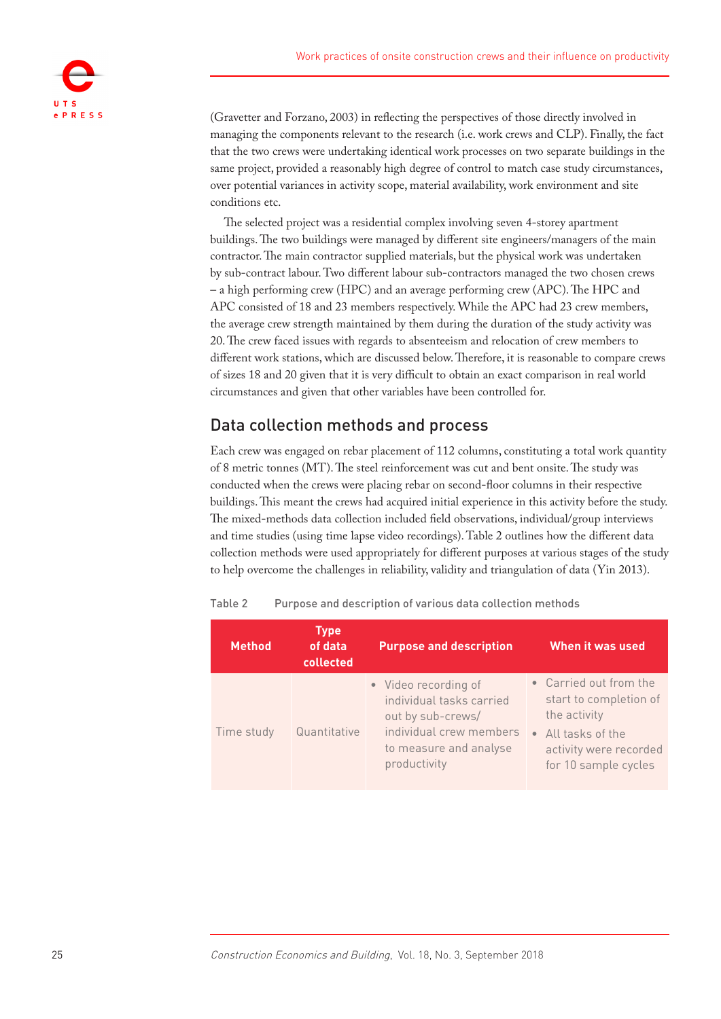

(Gravetter and Forzano, [2003](#page-19-5)) in reflecting the perspectives of those directly involved in managing the components relevant to the research (i.e. work crews and CLP). Finally, the fact that the two crews were undertaking identical work processes on two separate buildings in the same project, provided a reasonably high degree of control to match case study circumstances, over potential variances in activity scope, material availability, work environment and site conditions etc.

The selected project was a residential complex involving seven 4-storey apartment buildings. The two buildings were managed by different site engineers/managers of the main contractor. The main contractor supplied materials, but the physical work was undertaken by sub-contract labour. Two different labour sub-contractors managed the two chosen crews – a high performing crew (HPC) and an average performing crew (APC). The HPC and APC consisted of 18 and 23 members respectively. While the APC had 23 crew members, the average crew strength maintained by them during the duration of the study activity was 20. The crew faced issues with regards to absenteeism and relocation of crew members to different work stations, which are discussed below. Therefore, it is reasonable to compare crews of sizes 18 and 20 given that it is very difficult to obtain an exact comparison in real world circumstances and given that other variables have been controlled for.

# Data collection methods and process

Each crew was engaged on rebar placement of 112 columns, constituting a total work quantity of 8 metric tonnes (MT). The steel reinforcement was cut and bent onsite. The study was conducted when the crews were placing rebar on second-floor columns in their respective buildings. This meant the crews had acquired initial experience in this activity before the study. The mixed-methods data collection included field observations, individual/group interviews and time studies (using time lapse video recordings). Table 2 outlines how the different data collection methods were used appropriately for different purposes at various stages of the study to help overcome the challenges in reliability, validity and triangulation of data (Yin [2013](#page-21-4)).

| <b>Method</b> | <b>Type</b><br>of data<br>collected | <b>Purpose and description</b>                                                                                                             | When it was used                                                                                                                         |
|---------------|-------------------------------------|--------------------------------------------------------------------------------------------------------------------------------------------|------------------------------------------------------------------------------------------------------------------------------------------|
| Time study    | Quantitative                        | • Video recording of<br>individual tasks carried<br>out by sub-crews/<br>individual crew members<br>to measure and analyse<br>productivity | • Carried out from the<br>start to completion of<br>the activity<br>• All tasks of the<br>activity were recorded<br>for 10 sample cycles |

Table 2 Purpose and description of various data collection methods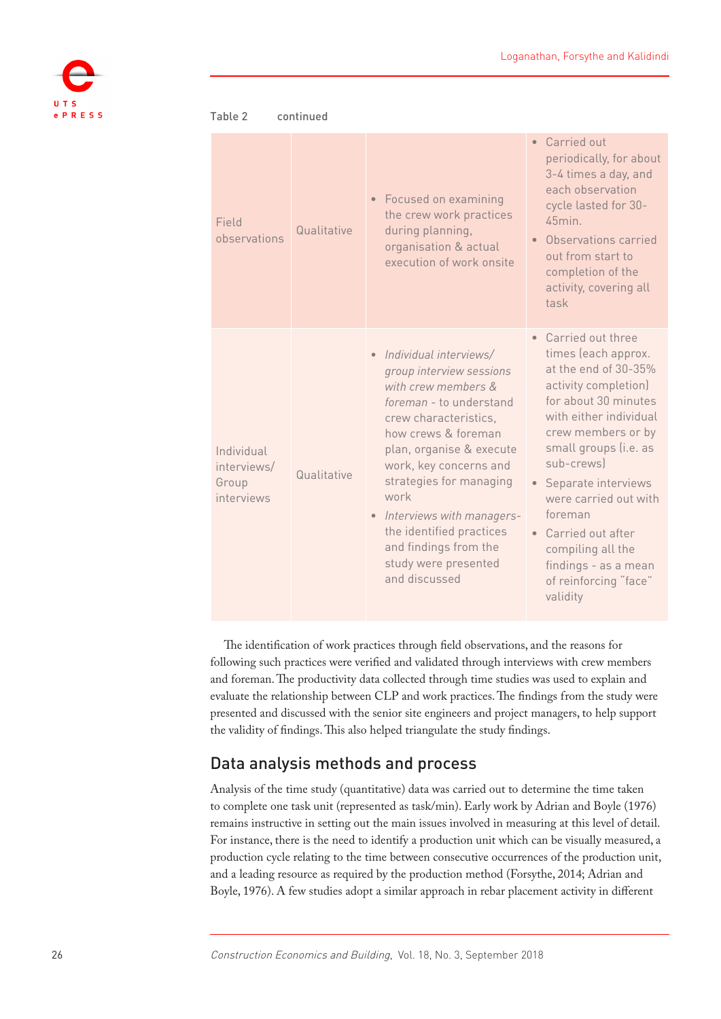

| continued<br>Table 2                             |             |                                                                                                                                                                                                                                                                                                                                                                                       |                                                                                                                                                                                                                                                                                                                                                                                                                  |  |  |  |
|--------------------------------------------------|-------------|---------------------------------------------------------------------------------------------------------------------------------------------------------------------------------------------------------------------------------------------------------------------------------------------------------------------------------------------------------------------------------------|------------------------------------------------------------------------------------------------------------------------------------------------------------------------------------------------------------------------------------------------------------------------------------------------------------------------------------------------------------------------------------------------------------------|--|--|--|
| Field<br>observations                            | Qualitative | • Focused on examining<br>the crew work practices<br>during planning,<br>organisation & actual<br>execution of work onsite                                                                                                                                                                                                                                                            | Carried out<br>$\bullet$<br>periodically, for about<br>3-4 times a day, and<br>each observation<br>cycle lasted for 30-<br>45min.<br>Observations carried<br>out from start to<br>completion of the<br>activity, covering all<br>task                                                                                                                                                                            |  |  |  |
| Individual<br>interviews/<br>Group<br>interviews | Qualitative | Individual interviews/<br>group interview sessions<br>with crew members &<br>foreman - to understand<br>crew characteristics,<br>how crews & foreman<br>plan, organise & execute<br>work, key concerns and<br>strategies for managing<br>work<br>Interviews with managers-<br>$\bullet$<br>the identified practices<br>and findings from the<br>study were presented<br>and discussed | Carried out three<br>$\bullet$<br>times (each approx.<br>at the end of 30-35%<br>activity completion)<br>for about 30 minutes<br>with either individual<br>crew members or by<br>small groups (i.e. as<br>sub-crews)<br>Separate interviews<br>$\bullet$<br>were carried out with<br>foreman<br>Carried out after<br>$\bullet$<br>compiling all the<br>findings - as a mean<br>of reinforcing "face"<br>validity |  |  |  |

The identification of work practices through field observations, and the reasons for following such practices were verified and validated through interviews with crew members and foreman. The productivity data collected through time studies was used to explain and evaluate the relationship between CLP and work practices. The findings from the study were presented and discussed with the senior site engineers and project managers, to help support the validity of findings. This also helped triangulate the study findings.

# Data analysis methods and process

Analysis of the time study (quantitative) data was carried out to determine the time taken to complete one task unit (represented as task/min). Early work by Adrian and Boyle (1976) remains instructive in setting out the main issues involved in measuring at this level of detail. For instance, there is the need to identify a production unit which can be visually measured, a production cycle relating to the time between consecutive occurrences of the production unit, and a leading resource as required by the production method (Forsythe, 2014; Adrian and Boyle, 1976). A few studies adopt a similar approach in rebar placement activity in different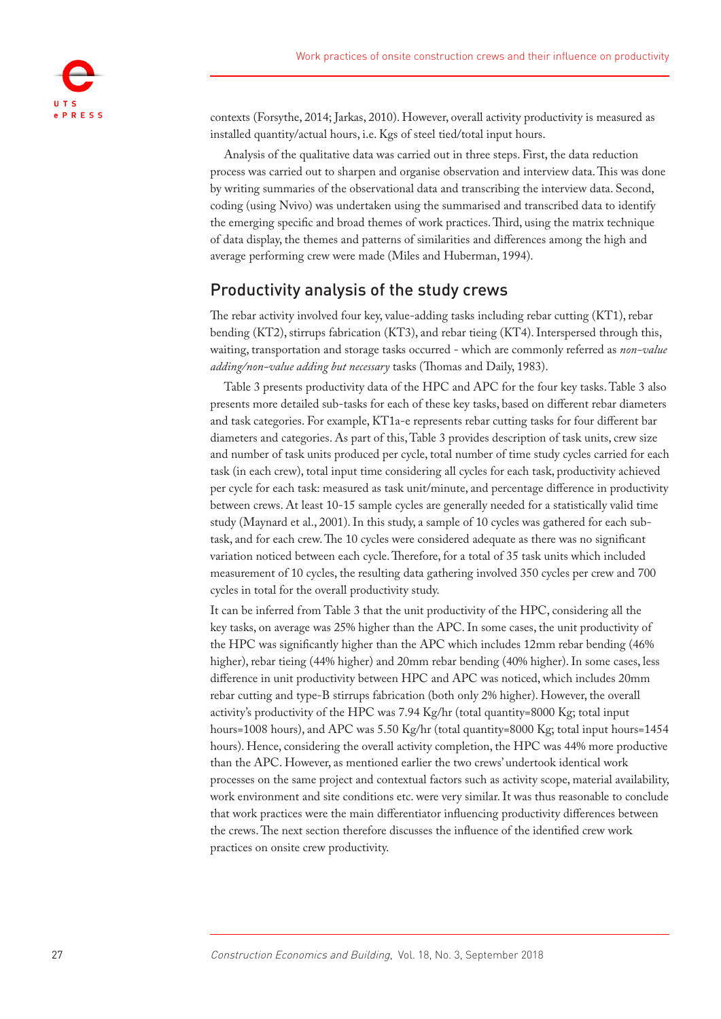

contexts (Forsythe, 2014; Jarkas, [2010](#page-20-5)). However, overall activity productivity is measured as installed quantity/actual hours, i.e. Kgs of steel tied/total input hours.

Analysis of the qualitative data was carried out in three steps. First, the data reduction process was carried out to sharpen and organise observation and interview data. This was done by writing summaries of the observational data and transcribing the interview data. Second, coding (using Nvivo) was undertaken using the summarised and transcribed data to identify the emerging specific and broad themes of work practices. Third, using the matrix technique of data display, the themes and patterns of similarities and differences among the high and average performing crew were made (Miles and Huberman, [1994\)](#page-20-6).

### Productivity analysis of the study crews

The rebar activity involved four key, value-adding tasks including rebar cutting (KT1), rebar bending (KT2), stirrups fabrication (KT3), and rebar tieing (KT4). Interspersed through this, waiting, transportation and storage tasks occurred - which are commonly referred as *non-value adding/non-value adding but necessary* tasks (Thomas and Daily, [1983](#page-21-5)).

Table 3 presents productivity data of the HPC and APC for the four key tasks. Table 3 also presents more detailed sub-tasks for each of these key tasks, based on different rebar diameters and task categories. For example, KT1a-e represents rebar cutting tasks for four different bar diameters and categories. As part of this, Table 3 provides description of task units, crew size and number of task units produced per cycle, total number of time study cycles carried for each task (in each crew), total input time considering all cycles for each task, productivity achieved per cycle for each task: measured as task unit/minute, and percentage difference in productivity between crews. At least 10-15 sample cycles are generally needed for a statistically valid time study (Maynard et al., 2001). In this study, a sample of 10 cycles was gathered for each subtask, and for each crew. The 10 cycles were considered adequate as there was no significant variation noticed between each cycle. Therefore, for a total of 35 task units which included measurement of 10 cycles, the resulting data gathering involved 350 cycles per crew and 700 cycles in total for the overall productivity study.

It can be inferred from Table 3 that the unit productivity of the HPC, considering all the key tasks, on average was 25% higher than the APC. In some cases, the unit productivity of the HPC was significantly higher than the APC which includes 12mm rebar bending (46% higher), rebar tieing (44% higher) and 20mm rebar bending (40% higher). In some cases, less difference in unit productivity between HPC and APC was noticed, which includes 20mm rebar cutting and type-B stirrups fabrication (both only 2% higher). However, the overall activity's productivity of the HPC was 7.94 Kg/hr (total quantity=8000 Kg; total input hours=1008 hours), and APC was 5.50 Kg/hr (total quantity=8000 Kg; total input hours=1454 hours). Hence, considering the overall activity completion, the HPC was 44% more productive than the APC. However, as mentioned earlier the two crews' undertook identical work processes on the same project and contextual factors such as activity scope, material availability, work environment and site conditions etc. were very similar. It was thus reasonable to conclude that work practices were the main differentiator influencing productivity differences between the crews. The next section therefore discusses the influence of the identified crew work practices on onsite crew productivity.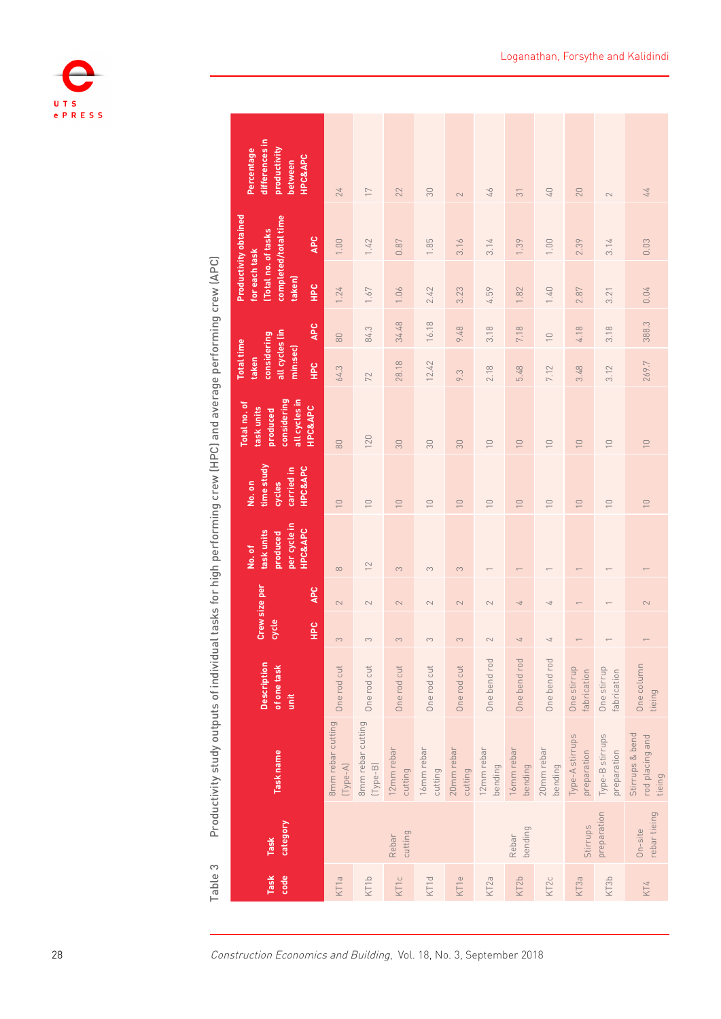

| differences in<br>productivity<br>Percentage<br><b>HPC&amp;APC</b><br>between<br><b>Productivity obtained</b><br>completed/total time<br>Total no. of tasks<br>APC<br>for each task<br>taken)<br>E<br><b>APC</b><br>all cycles (in<br>considering<br><b>Total time</b><br>min:sec<br>taken<br>E <sub>c</sub><br>considering<br>all cycles in<br>Total no. of<br><b>HPC&amp;APC</b><br>task units<br>produced<br>time study<br><b>HPC&amp;APC</b><br>carried in<br>No.on<br>cycles<br>per cycle in<br><b>HPC&amp;APC</b><br>task units<br>produced<br>No. of<br>Crew size per<br>APC<br>cycle<br>E | 24<br>1.00<br>1.24<br>80<br>64.3<br>80<br>$\cup$<br>$\infty$<br>$\sim$<br>$\infty$ | $\overline{\phantom{0}}$<br>1.42<br>1.67<br>84.3<br>72<br>120<br>$\begin{array}{c} \square \end{array}$<br>$\sqrt{2}$<br>$\sim$<br>3 | 22<br>0.87<br>1.06<br>34.48<br>28.18<br>30<br>$\cup$<br>3<br>$\sim$<br>3 | 30<br>1.85<br>2.42<br>16.18<br>12.42<br>30<br>$\supseteq$<br>S<br>$\sim$<br>3 | $\sim$<br>3.16<br>3.23<br>9.48<br>9.3<br>30<br>$\cup$<br>3<br>$\sim$<br>3 | 46<br>3.14<br>4.59<br>3.18<br>2.18<br>$\bigcap\limits_{i=1}^n$<br>$\supseteq$<br>$\sim$<br>$\sim$ | $\overline{31}$<br>1.39<br>1.82<br>7.18<br>5.48<br>$\cup$<br>$\cup$<br>$\overline{4}$<br>$\overline{4}$ | $\sqrt{4}$<br>1.00<br>1.40<br>$\overline{\phantom{0}}$<br>7.12<br>$\overline{\phantom{0}}$<br>$\bigcap\limits_{i=1}^n$<br>$\overline{4}$<br>4 | 20<br>2.39<br>2.87<br>4.18<br>3.48<br>$\overline{\phantom{0}}$<br>$\cup$ | $\sim$<br>3.14<br>3.21<br>3.18<br>3.12<br>$\frac{1}{2}$<br>$\supseteq$ |                 |
|---------------------------------------------------------------------------------------------------------------------------------------------------------------------------------------------------------------------------------------------------------------------------------------------------------------------------------------------------------------------------------------------------------------------------------------------------------------------------------------------------------------------------------------------------------------------------------------------------|------------------------------------------------------------------------------------|--------------------------------------------------------------------------------------------------------------------------------------|--------------------------------------------------------------------------|-------------------------------------------------------------------------------|---------------------------------------------------------------------------|---------------------------------------------------------------------------------------------------|---------------------------------------------------------------------------------------------------------|-----------------------------------------------------------------------------------------------------------------------------------------------|--------------------------------------------------------------------------|------------------------------------------------------------------------|-----------------|
|                                                                                                                                                                                                                                                                                                                                                                                                                                                                                                                                                                                                   |                                                                                    |                                                                                                                                      |                                                                          |                                                                               |                                                                           |                                                                                                   |                                                                                                         |                                                                                                                                               |                                                                          |                                                                        |                 |
|                                                                                                                                                                                                                                                                                                                                                                                                                                                                                                                                                                                                   |                                                                                    |                                                                                                                                      |                                                                          |                                                                               |                                                                           |                                                                                                   |                                                                                                         |                                                                                                                                               |                                                                          |                                                                        |                 |
|                                                                                                                                                                                                                                                                                                                                                                                                                                                                                                                                                                                                   |                                                                                    |                                                                                                                                      |                                                                          |                                                                               |                                                                           |                                                                                                   |                                                                                                         |                                                                                                                                               |                                                                          |                                                                        |                 |
|                                                                                                                                                                                                                                                                                                                                                                                                                                                                                                                                                                                                   |                                                                                    |                                                                                                                                      |                                                                          |                                                                               |                                                                           |                                                                                                   |                                                                                                         |                                                                                                                                               |                                                                          |                                                                        |                 |
|                                                                                                                                                                                                                                                                                                                                                                                                                                                                                                                                                                                                   |                                                                                    |                                                                                                                                      |                                                                          |                                                                               |                                                                           |                                                                                                   |                                                                                                         |                                                                                                                                               |                                                                          |                                                                        |                 |
|                                                                                                                                                                                                                                                                                                                                                                                                                                                                                                                                                                                                   |                                                                                    |                                                                                                                                      |                                                                          |                                                                               |                                                                           |                                                                                                   |                                                                                                         |                                                                                                                                               |                                                                          |                                                                        |                 |
| <b>Description</b><br>of one task<br>Ë                                                                                                                                                                                                                                                                                                                                                                                                                                                                                                                                                            | One rod cut                                                                        | One rod cut                                                                                                                          | One rod cut                                                              | One rod cut                                                                   | One rod cut                                                               | One bend rod                                                                                      | One bend rod                                                                                            | One bend rod                                                                                                                                  | One stirrup<br>fabrication                                               | One stirrup<br>fabrication                                             | One column      |
| Task name                                                                                                                                                                                                                                                                                                                                                                                                                                                                                                                                                                                         | 8mm rebar cutting<br>$(Type-A)$                                                    | 8mm rebar cutting<br>[Type-B]                                                                                                        | 12mm rebar<br>cutting                                                    | 16mm rebar<br>cutting                                                         | 20mm rebar<br>cutting                                                     | 12mm rebar<br>bending                                                                             | 16mm rebar<br>bending                                                                                   | 20mm rebar<br>bending                                                                                                                         | Type-A stirrups<br>preparation                                           | Type-B stirrups<br>preparation                                         | Stirrups & bend |
| <b>Category</b><br>Task                                                                                                                                                                                                                                                                                                                                                                                                                                                                                                                                                                           |                                                                                    |                                                                                                                                      | cutting<br>Rebar                                                         |                                                                               |                                                                           |                                                                                                   | bending<br>Rebar                                                                                        |                                                                                                                                               | Stirrups                                                                 | preparation                                                            | $On-site$       |
| code<br>Task                                                                                                                                                                                                                                                                                                                                                                                                                                                                                                                                                                                      | KT <sub>1a</sub>                                                                   | KT <sub>1</sub> b                                                                                                                    | KT1c                                                                     | KT1d                                                                          | KT1e                                                                      | KT <sub>2a</sub>                                                                                  | KT <sub>2</sub> b                                                                                       | KT <sub>2c</sub>                                                                                                                              | KT <sub>3a</sub>                                                         | KT3b                                                                   |                 |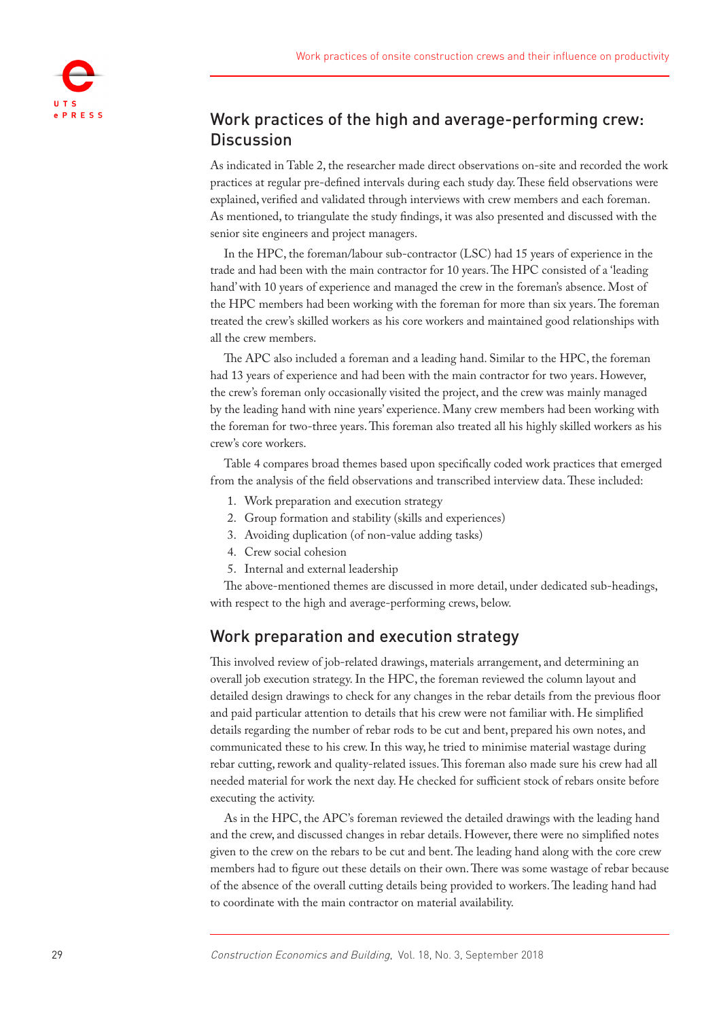

# Work practices of the high and average-performing crew: **Discussion**

As indicated in Table 2, the researcher made direct observations on-site and recorded the work practices at regular pre-defined intervals during each study day. These field observations were explained, verified and validated through interviews with crew members and each foreman. As mentioned, to triangulate the study findings, it was also presented and discussed with the senior site engineers and project managers.

In the HPC, the foreman/labour sub-contractor (LSC) had 15 years of experience in the trade and had been with the main contractor for 10 years. The HPC consisted of a 'leading hand' with 10 years of experience and managed the crew in the foreman's absence. Most of the HPC members had been working with the foreman for more than six years. The foreman treated the crew's skilled workers as his core workers and maintained good relationships with all the crew members.

The APC also included a foreman and a leading hand. Similar to the HPC, the foreman had 13 years of experience and had been with the main contractor for two years. However, the crew's foreman only occasionally visited the project, and the crew was mainly managed by the leading hand with nine years' experience. Many crew members had been working with the foreman for two-three years. This foreman also treated all his highly skilled workers as his crew's core workers.

Table 4 compares broad themes based upon specifically coded work practices that emerged from the analysis of the field observations and transcribed interview data. These included:

- 1. Work preparation and execution strategy
- 2. Group formation and stability (skills and experiences)
- 3. Avoiding duplication (of non-value adding tasks)
- 4. Crew social cohesion
- 5. Internal and external leadership

The above-mentioned themes are discussed in more detail, under dedicated sub-headings, with respect to the high and average-performing crews, below.

#### Work preparation and execution strategy

This involved review of job-related drawings, materials arrangement, and determining an overall job execution strategy. In the HPC, the foreman reviewed the column layout and detailed design drawings to check for any changes in the rebar details from the previous floor and paid particular attention to details that his crew were not familiar with. He simplified details regarding the number of rebar rods to be cut and bent, prepared his own notes, and communicated these to his crew. In this way, he tried to minimise material wastage during rebar cutting, rework and quality-related issues. This foreman also made sure his crew had all needed material for work the next day. He checked for sufficient stock of rebars onsite before executing the activity.

As in the HPC, the APC's foreman reviewed the detailed drawings with the leading hand and the crew, and discussed changes in rebar details. However, there were no simplified notes given to the crew on the rebars to be cut and bent. The leading hand along with the core crew members had to figure out these details on their own. There was some wastage of rebar because of the absence of the overall cutting details being provided to workers. The leading hand had to coordinate with the main contractor on material availability.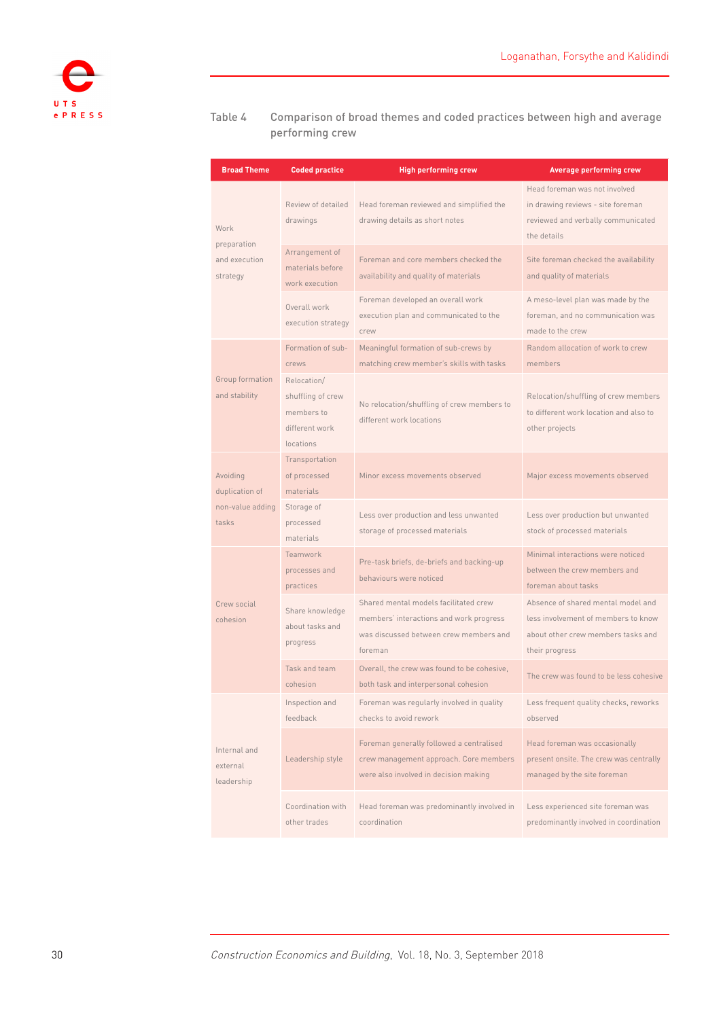

#### Table 4 Comparison of broad themes and coded practices between high and average performing crew

| <b>Broad Theme</b>                                      | <b>Coded practice</b>                                                         | <b>High performing crew</b>                                                                                                           | <b>Average performing crew</b>                                                                                                    |
|---------------------------------------------------------|-------------------------------------------------------------------------------|---------------------------------------------------------------------------------------------------------------------------------------|-----------------------------------------------------------------------------------------------------------------------------------|
| Work                                                    | Review of detailed<br>drawings                                                | Head foreman reviewed and simplified the<br>drawing details as short notes                                                            | Head foreman was not involved<br>in drawing reviews - site foreman<br>reviewed and verbally communicated<br>the details           |
| preparation<br>and execution<br>strategy                | Arrangement of<br>materials before<br>work execution                          | Foreman and core members checked the<br>availability and quality of materials                                                         | Site foreman checked the availability<br>and quality of materials                                                                 |
|                                                         | Overall work<br>execution strategy                                            | Foreman developed an overall work<br>execution plan and communicated to the<br>crew                                                   | A meso-level plan was made by the<br>foreman, and no communication was<br>made to the crew                                        |
|                                                         | Formation of sub-<br>crews                                                    | Meaningful formation of sub-crews by<br>matching crew member's skills with tasks                                                      | Random allocation of work to crew<br>members                                                                                      |
| Group formation<br>and stability                        | Relocation/<br>shuffling of crew<br>members to<br>different work<br>locations | No relocation/shuffling of crew members to<br>different work locations                                                                | Relocation/shuffling of crew members<br>to different work location and also to<br>other projects                                  |
| Avoiding<br>duplication of<br>non-value adding<br>tasks | Transportation<br>of processed<br>materials                                   | Minor excess movements observed                                                                                                       | Major excess movements observed                                                                                                   |
|                                                         | Storage of<br>processed<br>materials                                          | Less over production and less unwanted<br>storage of processed materials                                                              | Less over production but unwanted<br>stock of processed materials                                                                 |
|                                                         | Teamwork<br>processes and<br>practices                                        | Pre-task briefs, de-briefs and backing-up<br>behaviours were noticed                                                                  | Minimal interactions were noticed<br>between the crew members and<br>foreman about tasks                                          |
| Crew social<br>cohesion                                 | Share knowledge<br>about tasks and<br>progress                                | Shared mental models facilitated crew<br>members' interactions and work progress<br>was discussed between crew members and<br>foreman | Absence of shared mental model and<br>less involvement of members to know<br>about other crew members tasks and<br>their progress |
|                                                         | Task and team<br>cohesion                                                     | Overall, the crew was found to be cohesive,<br>both task and interpersonal cohesion                                                   | The crew was found to be less cohesive                                                                                            |
|                                                         | Inspection and<br>feedback                                                    | Foreman was regularly involved in quality<br>checks to avoid rework                                                                   | Less frequent quality checks, reworks<br>observed                                                                                 |
| Internal and<br>external<br>leadership                  | Leadership style                                                              | Foreman generally followed a centralised<br>crew management approach. Core members<br>were also involved in decision making           | Head foreman was occasionally<br>present onsite. The crew was centrally<br>managed by the site foreman                            |
|                                                         | Coordination with<br>other trades                                             | Head foreman was predominantly involved in<br>coordination                                                                            | Less experienced site foreman was<br>predominantly involved in coordination                                                       |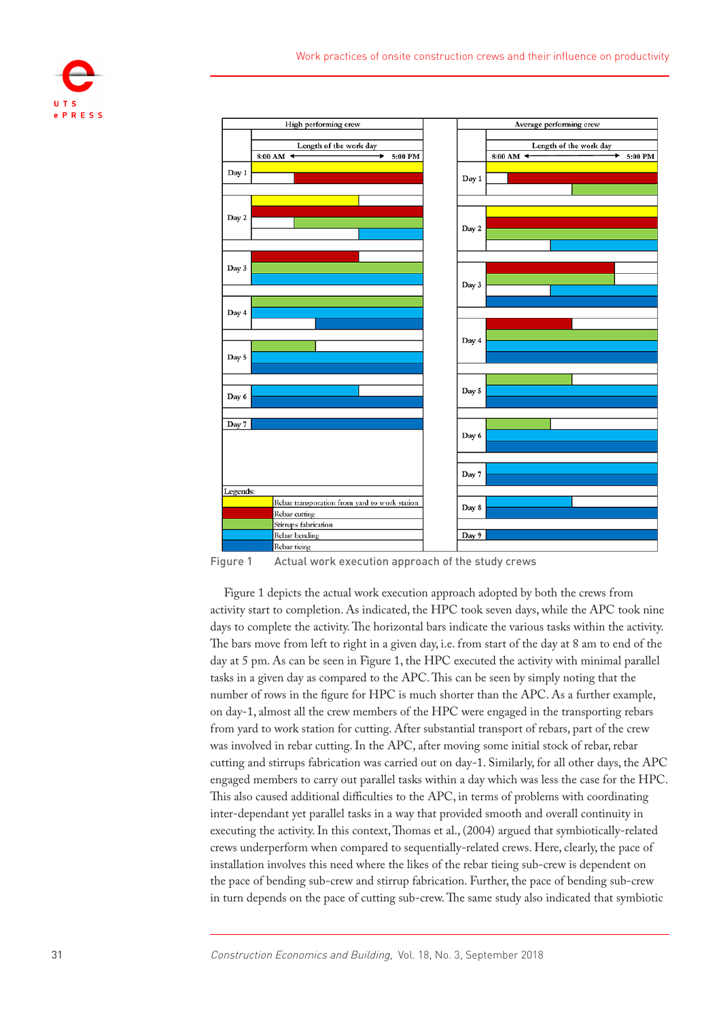



Figure 1 Actual work execution approach of the study crews

Figure 1 depicts the actual work execution approach adopted by both the crews from activity start to completion. As indicated, the HPC took seven days, while the APC took nine days to complete the activity. The horizontal bars indicate the various tasks within the activity. The bars move from left to right in a given day, i.e. from start of the day at 8 am to end of the day at 5 pm. As can be seen in Figure 1, the HPC executed the activity with minimal parallel tasks in a given day as compared to the APC. This can be seen by simply noting that the number of rows in the figure for HPC is much shorter than the APC. As a further example, on day-1, almost all the crew members of the HPC were engaged in the transporting rebars from yard to work station for cutting. After substantial transport of rebars, part of the crew was involved in rebar cutting. In the APC, after moving some initial stock of rebar, rebar cutting and stirrups fabrication was carried out on day-1. Similarly, for all other days, the APC engaged members to carry out parallel tasks within a day which was less the case for the HPC. This also caused additional difficulties to the APC, in terms of problems with coordinating inter-dependant yet parallel tasks in a way that provided smooth and overall continuity in executing the activity. In this context, Thomas et al., [\(2004](#page-21-6)) argued that symbiotically-related crews underperform when compared to sequentially-related crews. Here, clearly, the pace of installation involves this need where the likes of the rebar tieing sub-crew is dependent on the pace of bending sub-crew and stirrup fabrication. Further, the pace of bending sub-crew in turn depends on the pace of cutting sub-crew. The same study also indicated that symbiotic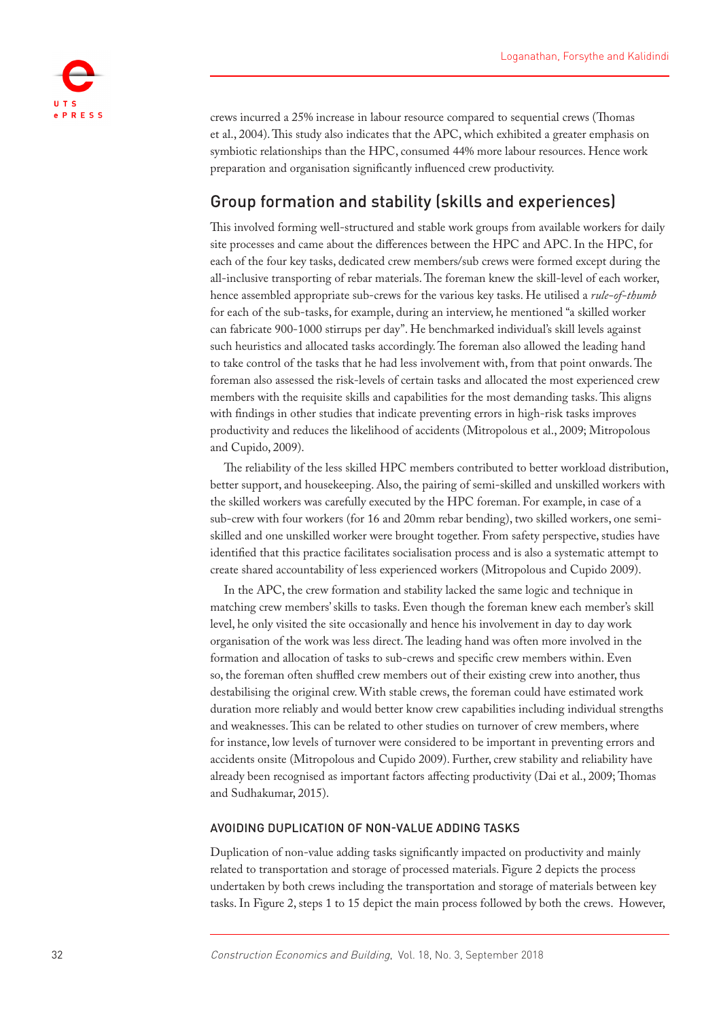

crews incurred a 25% increase in labour resource compared to sequential crews (Thomas et al., [2004](#page-21-6)). This study also indicates that the APC, which exhibited a greater emphasis on symbiotic relationships than the HPC, consumed 44% more labour resources. Hence work preparation and organisation significantly influenced crew productivity.

# Group formation and stability (skills and experiences)

This involved forming well-structured and stable work groups from available workers for daily site processes and came about the differences between the HPC and APC. In the HPC, for each of the four key tasks, dedicated crew members/sub crews were formed except during the all-inclusive transporting of rebar materials. The foreman knew the skill-level of each worker, hence assembled appropriate sub-crews for the various key tasks. He utilised a *rule-of-thumb*  for each of the sub-tasks, for example, during an interview, he mentioned "a skilled worker can fabricate 900-1000 stirrups per day". He benchmarked individual's skill levels against such heuristics and allocated tasks accordingly. The foreman also allowed the leading hand to take control of the tasks that he had less involvement with, from that point onwards. The foreman also assessed the risk-levels of certain tasks and allocated the most experienced crew members with the requisite skills and capabilities for the most demanding tasks. This aligns with findings in other studies that indicate preventing errors in high-risk tasks improves productivity and reduces the likelihood of accidents (Mitropolous et al., 2009; Mitropolous and Cupido, [2009\)](#page-20-2).

The reliability of the less skilled HPC members contributed to better workload distribution, better support, and housekeeping. Also, the pairing of semi-skilled and unskilled workers with the skilled workers was carefully executed by the HPC foreman. For example, in case of a sub-crew with four workers (for 16 and 20mm rebar bending), two skilled workers, one semiskilled and one unskilled worker were brought together. From safety perspective, studies have identified that this practice facilitates socialisation process and is also a systematic attempt to create shared accountability of less experienced workers (Mitropolous and Cupido [2009\)](#page-20-2).

In the APC, the crew formation and stability lacked the same logic and technique in matching crew members' skills to tasks. Even though the foreman knew each member's skill level, he only visited the site occasionally and hence his involvement in day to day work organisation of the work was less direct. The leading hand was often more involved in the formation and allocation of tasks to sub-crews and specific crew members within. Even so, the foreman often shuffled crew members out of their existing crew into another, thus destabilising the original crew. With stable crews, the foreman could have estimated work duration more reliably and would better know crew capabilities including individual strengths and weaknesses. This can be related to other studies on turnover of crew members, where for instance, low levels of turnover were considered to be important in preventing errors and accidents onsite (Mitropolous and Cupido [2009\)](#page-20-2). Further, crew stability and reliability have already been recognised as important factors affecting productivity (Dai et al., 2009; Thomas and Sudhakumar, 2015).

#### AVOIDING DUPLICATION OF NON-VALUE ADDING TASKS

Duplication of non-value adding tasks significantly impacted on productivity and mainly related to transportation and storage of processed materials. Figure 2 depicts the process undertaken by both crews including the transportation and storage of materials between key tasks. In Figure 2, steps 1 to 15 depict the main process followed by both the crews. However,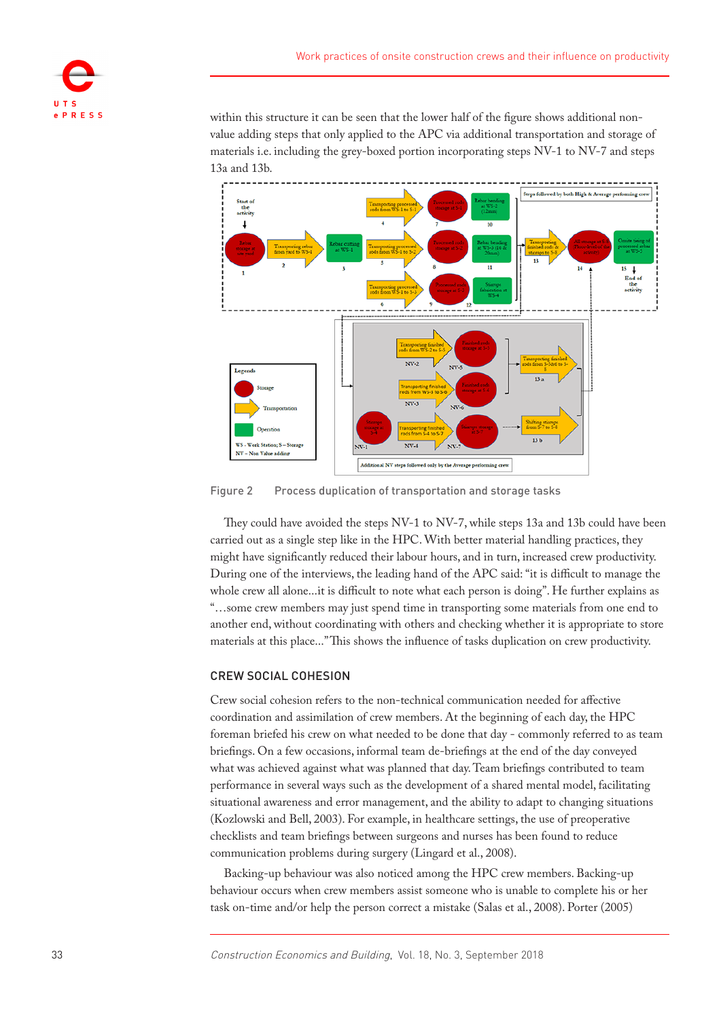

within this structure it can be seen that the lower half of the figure shows additional nonvalue adding steps that only applied to the APC via additional transportation and storage of materials i.e. including the grey-boxed portion incorporating steps NV-1 to NV-7 and steps 13a and 13b.



Figure 2 Process duplication of transportation and storage tasks

They could have avoided the steps NV-1 to NV-7, while steps 13a and 13b could have been carried out as a single step like in the HPC. With better material handling practices, they might have significantly reduced their labour hours, and in turn, increased crew productivity. During one of the interviews, the leading hand of the APC said: "it is difficult to manage the whole crew all alone...it is difficult to note what each person is doing". He further explains as "…some crew members may just spend time in transporting some materials from one end to another end, without coordinating with others and checking whether it is appropriate to store materials at this place..." This shows the influence of tasks duplication on crew productivity.

#### CREW SOCIAL COHESION

Crew social cohesion refers to the non-technical communication needed for affective coordination and assimilation of crew members. At the beginning of each day, the HPC foreman briefed his crew on what needed to be done that day - commonly referred to as team briefings. On a few occasions, informal team de-briefings at the end of the day conveyed what was achieved against what was planned that day. Team briefings contributed to team performance in several ways such as the development of a shared mental model, facilitating situational awareness and error management, and the ability to adapt to changing situations (Kozlowski and Bell, 2003). For example, in healthcare settings, the use of preoperative checklists and team briefings between surgeons and nurses has been found to reduce communication problems during surgery (Lingard et al., [2008](#page-20-7)).

Backing-up behaviour was also noticed among the HPC crew members. Backing-up behaviour occurs when crew members assist someone who is unable to complete his or her task on-time and/or help the person correct a mistake (Salas et al., [2008\)](#page-21-2). Porter [\(2005](#page-20-8))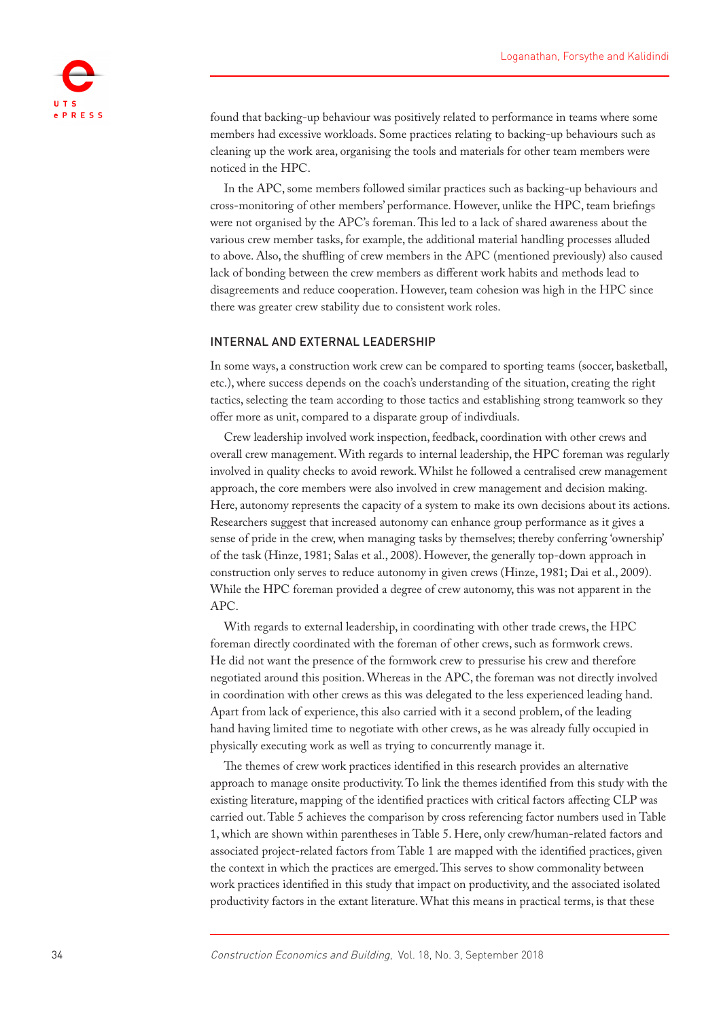

found that backing-up behaviour was positively related to performance in teams where some members had excessive workloads. Some practices relating to backing-up behaviours such as cleaning up the work area, organising the tools and materials for other team members were noticed in the HPC.

In the APC, some members followed similar practices such as backing-up behaviours and cross-monitoring of other members' performance. However, unlike the HPC, team briefings were not organised by the APC's foreman. This led to a lack of shared awareness about the various crew member tasks, for example, the additional material handling processes alluded to above. Also, the shuffling of crew members in the APC (mentioned previously) also caused lack of bonding between the crew members as different work habits and methods lead to disagreements and reduce cooperation. However, team cohesion was high in the HPC since there was greater crew stability due to consistent work roles.

#### INTERNAL AND EXTERNAL LEADERSHIP

In some ways, a construction work crew can be compared to sporting teams (soccer, basketball, etc.), where success depends on the coach's understanding of the situation, creating the right tactics, selecting the team according to those tactics and establishing strong teamwork so they offer more as unit, compared to a disparate group of indivdiuals.

Crew leadership involved work inspection, feedback, coordination with other crews and overall crew management. With regards to internal leadership, the HPC foreman was regularly involved in quality checks to avoid rework. Whilst he followed a centralised crew management approach, the core members were also involved in crew management and decision making. Here, autonomy represents the capacity of a system to make its own decisions about its actions. Researchers suggest that increased autonomy can enhance group performance as it gives a sense of pride in the crew, when managing tasks by themselves; thereby conferring 'ownership' of the task (Hinze, [1981](#page-19-6); Salas et al., [2008](#page-21-2)). However, the generally top-down approach in construction only serves to reduce autonomy in given crews (Hinze, [1981](#page-19-6); Dai et al., 2009). While the HPC foreman provided a degree of crew autonomy, this was not apparent in the APC.

With regards to external leadership, in coordinating with other trade crews, the HPC foreman directly coordinated with the foreman of other crews, such as formwork crews. He did not want the presence of the formwork crew to pressurise his crew and therefore negotiated around this position. Whereas in the APC, the foreman was not directly involved in coordination with other crews as this was delegated to the less experienced leading hand. Apart from lack of experience, this also carried with it a second problem, of the leading hand having limited time to negotiate with other crews, as he was already fully occupied in physically executing work as well as trying to concurrently manage it.

The themes of crew work practices identified in this research provides an alternative approach to manage onsite productivity. To link the themes identified from this study with the existing literature, mapping of the identified practices with critical factors affecting CLP was carried out. Table 5 achieves the comparison by cross referencing factor numbers used in Table 1, which are shown within parentheses in Table 5. Here, only crew/human-related factors and associated project-related factors from Table 1 are mapped with the identified practices, given the context in which the practices are emerged. This serves to show commonality between work practices identified in this study that impact on productivity, and the associated isolated productivity factors in the extant literature. What this means in practical terms, is that these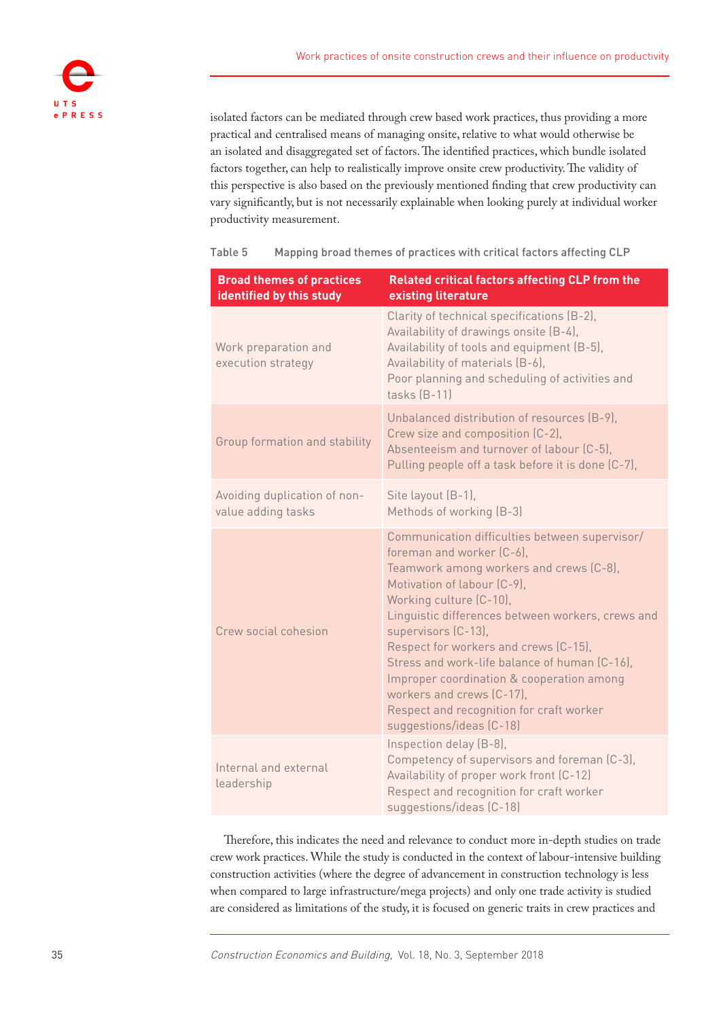

isolated factors can be mediated through crew based work practices, thus providing a more practical and centralised means of managing onsite, relative to what would otherwise be an isolated and disaggregated set of factors. The identified practices, which bundle isolated factors together, can help to realistically improve onsite crew productivity. The validity of this perspective is also based on the previously mentioned finding that crew productivity can vary significantly, but is not necessarily explainable when looking purely at individual worker productivity measurement.

| <b>Broad themes of practices</b><br>identified by this study | Related critical factors affecting CLP from the<br>existing literature                                                                                                                                                                                                                                                                                                                                                                                                                                   |
|--------------------------------------------------------------|----------------------------------------------------------------------------------------------------------------------------------------------------------------------------------------------------------------------------------------------------------------------------------------------------------------------------------------------------------------------------------------------------------------------------------------------------------------------------------------------------------|
| Work preparation and<br>execution strategy                   | Clarity of technical specifications (B-2),<br>Availability of drawings onsite (B-4),<br>Availability of tools and equipment (B-5),<br>Availability of materials (B-6),<br>Poor planning and scheduling of activities and<br>tasks $(B-11)$                                                                                                                                                                                                                                                               |
| Group formation and stability                                | Unbalanced distribution of resources (B-9).<br>Crew size and composition (C-2),<br>Absenteeism and turnover of labour (C-5),<br>Pulling people off a task before it is done (C-7),                                                                                                                                                                                                                                                                                                                       |
| Avoiding duplication of non-<br>value adding tasks           | Site layout (B-1),<br>Methods of working (B-3)                                                                                                                                                                                                                                                                                                                                                                                                                                                           |
| Crew social cohesion                                         | Communication difficulties between supervisor/<br>foreman and worker (C-6).<br>Teamwork among workers and crews (C-8),<br>Motivation of labour (C-9),<br>Working culture (C-10),<br>Linguistic differences between workers, crews and<br>supervisors (C-13),<br>Respect for workers and crews (C-15).<br>Stress and work-life balance of human (C-16),<br>Improper coordination & cooperation among<br>workers and crews (C-17).<br>Respect and recognition for craft worker<br>suggestions/ideas (C-18) |
| Internal and external<br>leadership                          | Inspection delay (B-8),<br>Competency of supervisors and foreman (C-3),<br>Availability of proper work front (C-12)<br>Respect and recognition for craft worker<br>suggestions/ideas (C-18)                                                                                                                                                                                                                                                                                                              |

Table 5 Mapping broad themes of practices with critical factors affecting CLP

Therefore, this indicates the need and relevance to conduct more in-depth studies on trade crew work practices. While the study is conducted in the context of labour-intensive building construction activities (where the degree of advancement in construction technology is less when compared to large infrastructure/mega projects) and only one trade activity is studied are considered as limitations of the study, it is focused on generic traits in crew practices and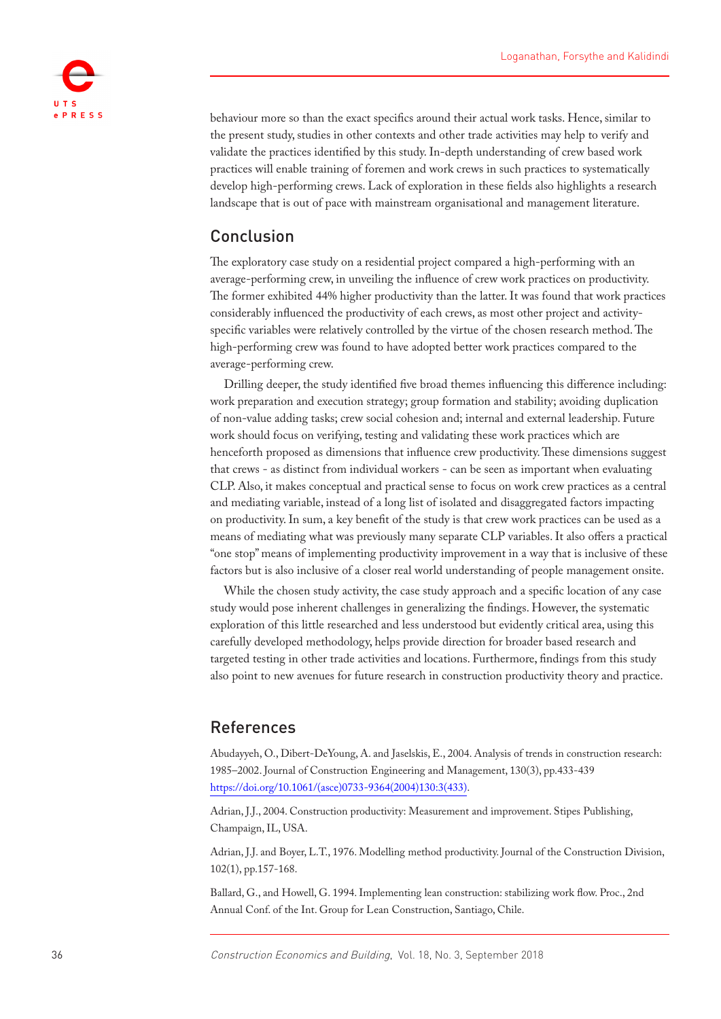

behaviour more so than the exact specifics around their actual work tasks. Hence, similar to the present study, studies in other contexts and other trade activities may help to verify and validate the practices identified by this study. In-depth understanding of crew based work practices will enable training of foremen and work crews in such practices to systematically develop high-performing crews. Lack of exploration in these fields also highlights a research landscape that is out of pace with mainstream organisational and management literature.

# Conclusion

The exploratory case study on a residential project compared a high-performing with an average-performing crew, in unveiling the influence of crew work practices on productivity. The former exhibited 44% higher productivity than the latter. It was found that work practices considerably influenced the productivity of each crews, as most other project and activityspecific variables were relatively controlled by the virtue of the chosen research method. The high-performing crew was found to have adopted better work practices compared to the average-performing crew.

Drilling deeper, the study identified five broad themes influencing this difference including: work preparation and execution strategy; group formation and stability; avoiding duplication of non-value adding tasks; crew social cohesion and; internal and external leadership. Future work should focus on verifying, testing and validating these work practices which are henceforth proposed as dimensions that influence crew productivity. These dimensions suggest that crews - as distinct from individual workers - can be seen as important when evaluating CLP. Also, it makes conceptual and practical sense to focus on work crew practices as a central and mediating variable, instead of a long list of isolated and disaggregated factors impacting on productivity. In sum, a key benefit of the study is that crew work practices can be used as a means of mediating what was previously many separate CLP variables. It also offers a practical "one stop" means of implementing productivity improvement in a way that is inclusive of these factors but is also inclusive of a closer real world understanding of people management onsite.

While the chosen study activity, the case study approach and a specific location of any case study would pose inherent challenges in generalizing the findings. However, the systematic exploration of this little researched and less understood but evidently critical area, using this carefully developed methodology, helps provide direction for broader based research and targeted testing in other trade activities and locations. Furthermore, findings from this study also point to new avenues for future research in construction productivity theory and practice.

### References

Abudayyeh, O., Dibert-DeYoung, A. and Jaselskis, E., 2004. Analysis of trends in construction research: 1985–2002. Journal of Construction Engineering and Management, 130(3), pp.433-439 [https://doi.org/10.1061/\(asce\)0733-9364\(2004\)130:3\(433\).](https://doi.org/10.1061/(asce)0733-9364(2004)130:3(433))

<span id="page-18-1"></span>Adrian, J.J., 2004. Construction productivity: Measurement and improvement. Stipes Publishing, Champaign, IL, USA.

Adrian, J.J. and Boyer, L.T., 1976. Modelling method productivity. Journal of the Construction Division, 102(1), pp.157-168.

<span id="page-18-0"></span>Ballard, G., and Howell, G. 1994. Implementing lean construction: stabilizing work flow. Proc., 2nd Annual Conf. of the Int. Group for Lean Construction, Santiago, Chile.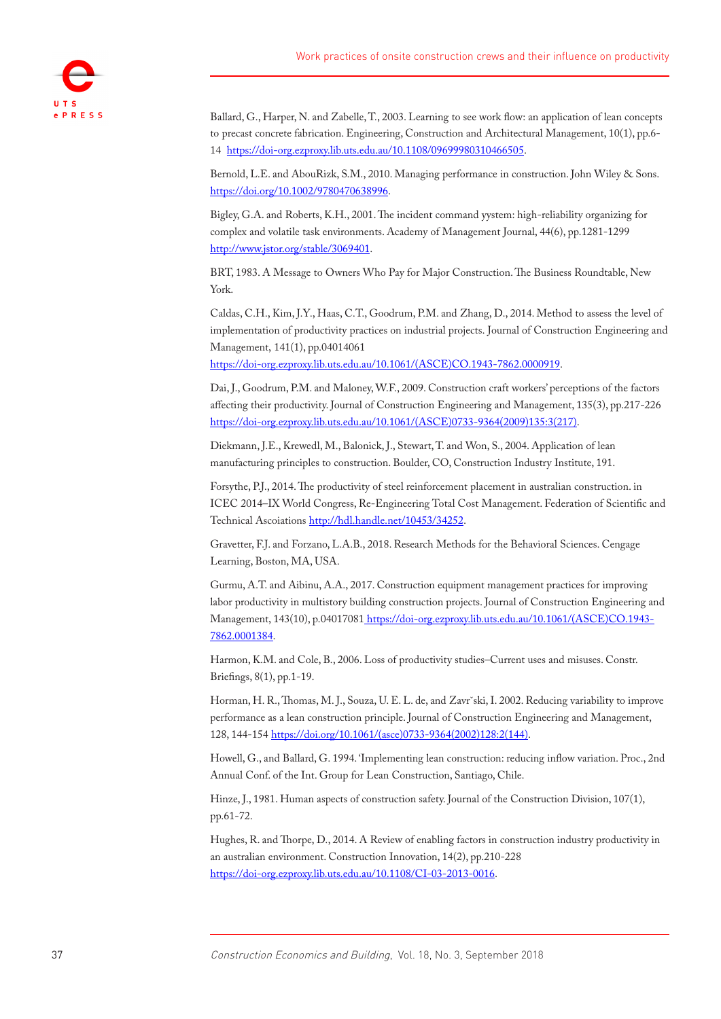

<span id="page-19-0"></span>Ballard, G., Harper, N. and Zabelle, T., 2003. Learning to see work flow: an application of lean concepts to precast concrete fabrication. Engineering, Construction and Architectural Management, 10(1), pp.6- 14 [https://doi-org.ezproxy.lib.uts.edu.au/10.1108/09699980310466505.](https://doi-org.ezproxy.lib.uts.edu.au/10.1108/09699980310466505)

<span id="page-19-2"></span>Bernold, L.E. and AbouRizk, S.M., 2010. Managing performance in construction. John Wiley & Sons. [https://doi.org/10.1002/9780470638996.](https://doi.org/10.1002/9780470638996)

<span id="page-19-3"></span>Bigley, G.A. and Roberts, K.H., 2001. The incident command yystem: high-reliability organizing for complex and volatile task environments. Academy of Management Journal, 44(6), pp.1281-1299 <http://www.jstor.org/stable/3069401>.

<span id="page-19-4"></span>BRT, 1983. A Message to Owners Who Pay for Major Construction. The Business Roundtable, New York.

Caldas, C.H., Kim, J.Y., Haas, C.T., Goodrum, P.M. and Zhang, D., 2014. Method to assess the level of implementation of productivity practices on industrial projects. Journal of Construction Engineering and Management, 141(1), pp.04014061

[https://doi-org.ezproxy.lib.uts.edu.au/10.1061/\(ASCE\)CO.1943-7862.0000919.](https://doi-org.ezproxy.lib.uts.edu.au/10.1061/(ASCE)CO.1943-7862.0000919)

Dai, J., Goodrum, P.M. and Maloney, W.F., 2009. Construction craft workers' perceptions of the factors affecting their productivity. Journal of Construction Engineering and Management, 135(3), pp.217-226 [https://doi-org.ezproxy.lib.uts.edu.au/10.1061/\(ASCE\)0733-9364\(2009\)135:3\(217\)](https://doi-org.ezproxy.lib.uts.edu.au/10.1061/(ASCE)0733-9364(2009)135:3(217)).

Diekmann, J.E., Krewedl, M., Balonick, J., Stewart, T. and Won, S., 2004. Application of lean manufacturing principles to construction. Boulder, CO, Construction Industry Institute, 191.

Forsythe, P.J., 2014. The productivity of steel reinforcement placement in australian construction. in ICEC 2014–IX World Congress, Re-Engineering Total Cost Management. Federation of Scientific and Technical Ascoiations [http://hdl.handle.net/10453/34252.](http://hdl.handle.net.ezproxy.lib.uts.edu.au/10453/34252)

<span id="page-19-5"></span>Gravetter, F.J. and Forzano, L.A.B., 2018. Research Methods for the Behavioral Sciences. Cengage Learning, Boston, MA, USA.

<span id="page-19-1"></span>Gurmu, A.T. and Aibinu, A.A., 2017. Construction equipment management practices for improving labor productivity in multistory building construction projects. Journal of Construction Engineering and Management, 143(10), p.04017081 [https://doi-org.ezproxy.lib.uts.edu.au/10.1061/\(ASCE\)CO.1943-](https://doi-org.ezproxy.lib.uts.edu.au/10.1061/(ASCE)CO.1943-7862.0001384) [7862.0001384](https://doi-org.ezproxy.lib.uts.edu.au/10.1061/(ASCE)CO.1943-7862.0001384).

Harmon, K.M. and Cole, B., 2006. Loss of productivity studies–Current uses and misuses. Constr. Briefings, 8(1), pp.1-19.

Horman, H. R., Thomas, M. J., Souza, U. E. L. de, and Zavrˇski, I. 2002. Reducing variability to improve performance as a lean construction principle. Journal of Construction Engineering and Management, 128, 144-154 [https://doi.org/10.1061/\(asce\)0733-9364\(2002\)128:2\(144\)](https://doi.org/10.1061/(asce)0733-9364(2002)128:2(144)).

Howell, G., and Ballard, G. 1994. 'Implementing lean construction: reducing inflow variation. Proc., 2nd Annual Conf. of the Int. Group for Lean Construction, Santiago, Chile.

<span id="page-19-6"></span>Hinze, J., 1981. Human aspects of construction safety. Journal of the Construction Division, 107(1), pp.61-72.

Hughes, R. and Thorpe, D., 2014. A Review of enabling factors in construction industry productivity in an australian environment. Construction Innovation, 14(2), pp.210-228 [https://doi-org.ezproxy.lib.uts.edu.au/10.1108/CI-03-2013-0016.](https://doi-org.ezproxy.lib.uts.edu.au/10.1108/CI-03-2013-0016)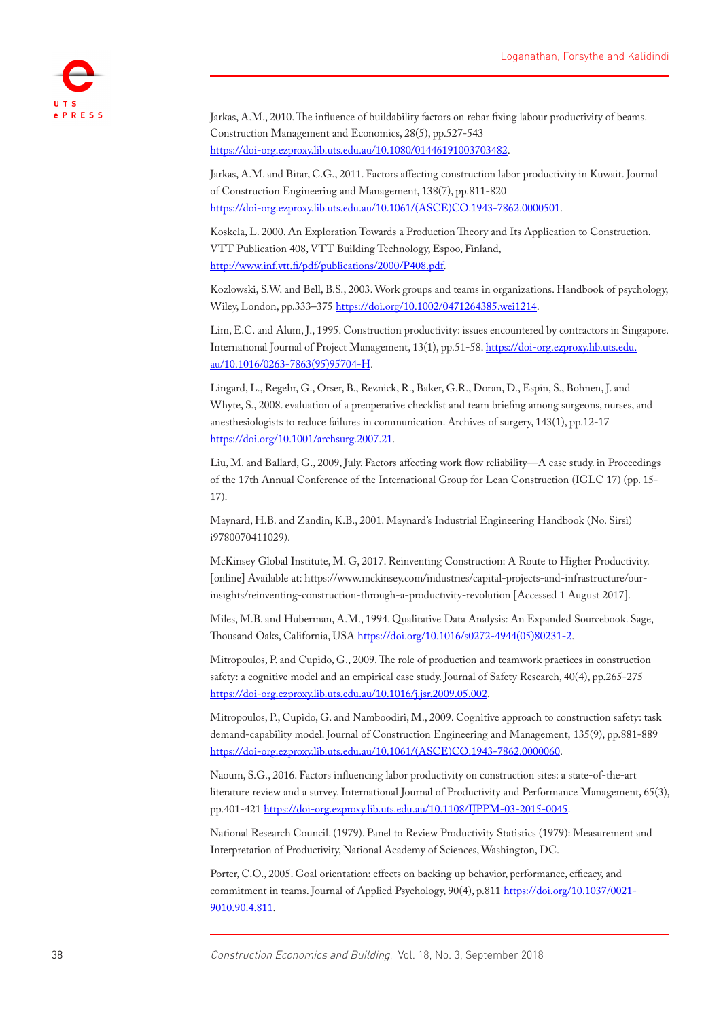

<span id="page-20-5"></span>Jarkas, A.M., 2010. The influence of buildability factors on rebar fixing labour productivity of beams. Construction Management and Economics, 28(5), pp.527-543 <https://doi-org.ezproxy.lib.uts.edu.au/10.1080/01446191003703482>.

<span id="page-20-3"></span>Jarkas, A.M. and Bitar, C.G., 2011. Factors affecting construction labor productivity in Kuwait. Journal of Construction Engineering and Management, 138(7), pp.811-820 [https://doi-org.ezproxy.lib.uts.edu.au/10.1061/\(ASCE\)CO.1943-7862.0000501.](https://doi-org.ezproxy.lib.uts.edu.au/10.1061/(ASCE)CO.1943-7862.0000501)

<span id="page-20-4"></span>Koskela, L. 2000. An Exploration Towards a Production Theory and Its Application to Construction. VTT Publication 408, VTT Building Technology, Espoo, Finland, <http://www.inf.vtt.fi/pdf/publications/2000/P408.pdf>.

Kozlowski, S.W. and Bell, B.S., 2003. Work groups and teams in organizations. Handbook of psychology, Wiley, London, pp.333–375<https://doi.org/10.1002/0471264385.wei1214>.

Lim, E.C. and Alum, J., 1995. Construction productivity: issues encountered by contractors in Singapore. International Journal of Project Management, 13(1), pp.51-58. [https://doi-org.ezproxy.lib.uts.edu.](https://doi-org.ezproxy.lib.uts.edu.au/10.1016/0263-7863(95)95704-H) [au/10.1016/0263-7863\(95\)95704-H.](https://doi-org.ezproxy.lib.uts.edu.au/10.1016/0263-7863(95)95704-H)

<span id="page-20-7"></span>Lingard, L., Regehr, G., Orser, B., Reznick, R., Baker, G.R., Doran, D., Espin, S., Bohnen, J. and Whyte, S., 2008. evaluation of a preoperative checklist and team briefing among surgeons, nurses, and anesthesiologists to reduce failures in communication. Archives of surgery, 143(1), pp.12-17 [https://doi.org/10.1001/archsurg.2007.21](https://doi.org/10.1001/archsurg.2007.21%20).

Liu, M. and Ballard, G., 2009, July. Factors affecting work flow reliability—A case study. in Proceedings of the 17th Annual Conference of the International Group for Lean Construction (IGLC 17) (pp. 15- 17).

Maynard, H.B. and Zandin, K.B., 2001. Maynard's Industrial Engineering Handbook (No. Sirsi) i9780070411029).

<span id="page-20-1"></span>McKinsey Global Institute, M. G, 2017. Reinventing Construction: A Route to Higher Productivity. [online] Available at: [https://www.mckinsey.com/industries/capital-projects-and-infrastructure/our](https://www.mckinsey.com/industries/capital-projects-and-infrastructure/our-insights/reinventing-construction-through-a-productivity-revolution)[insights/reinventing-construction-through-a-productivity-revolution](https://www.mckinsey.com/industries/capital-projects-and-infrastructure/our-insights/reinventing-construction-through-a-productivity-revolution) [Accessed 1 August 2017].

<span id="page-20-6"></span>Miles, M.B. and Huberman, A.M., 1994. Qualitative Data Analysis: An Expanded Sourcebook. Sage, Thousand Oaks, California, USA [https://doi.org/10.1016/s0272-4944\(05\)80231-2](https://doi.org/10.1016/s0272-4944(05)80231-2).

<span id="page-20-2"></span>Mitropoulos, P. and Cupido, G., 2009. The role of production and teamwork practices in construction safety: a cognitive model and an empirical case study. Journal of Safety Research, 40(4), pp.265-275 <https://doi-org.ezproxy.lib.uts.edu.au/10.1016/j.jsr.2009.05.002>.

Mitropoulos, P., Cupido, G. and Namboodiri, M., 2009. Cognitive approach to construction safety: task demand-capability model. Journal of Construction Engineering and Management, 135(9), pp.881-889 [https://doi-org.ezproxy.lib.uts.edu.au/10.1061/\(ASCE\)CO.1943-7862.0000060.](https://doi-org.ezproxy.lib.uts.edu.au/10.1061/(ASCE)CO.1943-7862.0000060)

Naoum, S.G., 2016. Factors influencing labor productivity on construction sites: a state-of-the-art literature review and a survey. International Journal of Productivity and Performance Management, 65(3), pp.401-421 [https://doi-org.ezproxy.lib.uts.edu.au/10.1108/IJPPM-03-2015-0045.](https://doi-org.ezproxy.lib.uts.edu.au/10.1108/IJPPM-03-2015-0045)

<span id="page-20-0"></span>National Research Council. (1979). Panel to Review Productivity Statistics (1979): Measurement and Interpretation of Productivity, National Academy of Sciences, Washington, DC.

<span id="page-20-8"></span>Porter, C.O., 2005. Goal orientation: effects on backing up behavior, performance, efficacy, and commitment in teams. Journal of Applied Psychology, 90(4), p.811 [https://doi.org/10.1037/0021-](https://doi.org/10.1037/0021-9010.90.4.811%20) [9010.90.4.811](https://doi.org/10.1037/0021-9010.90.4.811%20).